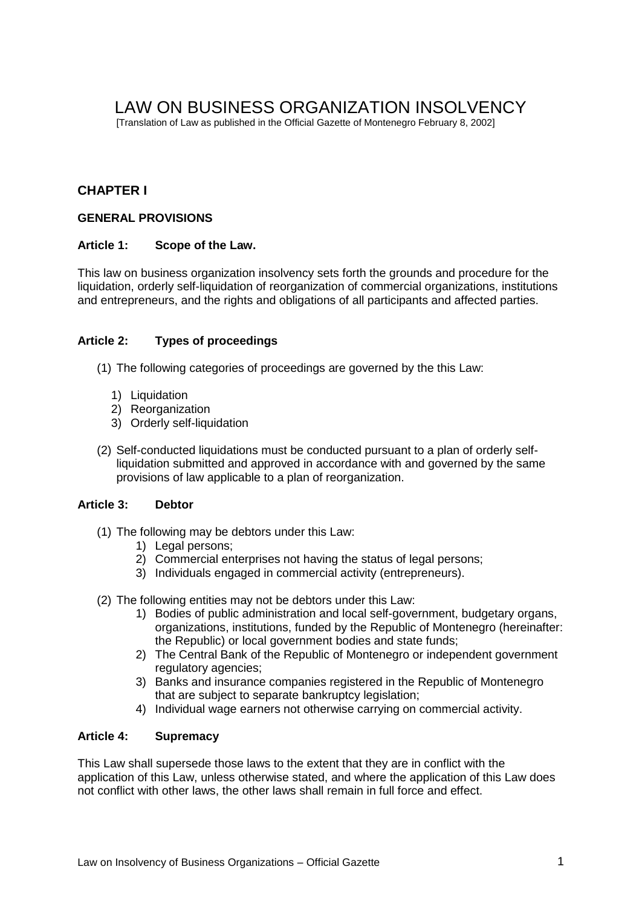# LAW ON BUSINESS ORGANIZATION INSOLVENCY

[Translation of Law as published in the Official Gazette of Montenegro February 8, 2002]

# **CHAPTER I**

# **GENERAL PROVISIONS**

# **Article 1: Scope of the Law.**

This law on business organization insolvency sets forth the grounds and procedure for the liquidation, orderly self-liquidation of reorganization of commercial organizations, institutions and entrepreneurs, and the rights and obligations of all participants and affected parties.

# **Article 2: Types of proceedings**

(1) The following categories of proceedings are governed by the this Law:

- 1) Liquidation
- 2) Reorganization
- 3) Orderly self-liquidation
- (2) Self-conducted liquidations must be conducted pursuant to a plan of orderly selfliquidation submitted and approved in accordance with and governed by the same provisions of law applicable to a plan of reorganization.

# **Article 3: Debtor**

- (1) The following may be debtors under this Law:
	- 1) Legal persons;
	- 2) Commercial enterprises not having the status of legal persons;
	- 3) Individuals engaged in commercial activity (entrepreneurs).
- (2) The following entities may not be debtors under this Law:
	- 1) Bodies of public administration and local self-government, budgetary organs, organizations, institutions, funded by the Republic of Montenegro (hereinafter: the Republic) or local government bodies and state funds;
	- 2) The Central Bank of the Republic of Montenegro or independent government regulatory agencies;
	- 3) Banks and insurance companies registered in the Republic of Montenegro that are subject to separate bankruptcy legislation;
	- 4) Individual wage earners not otherwise carrying on commercial activity.

# **Article 4: Supremacy**

This Law shall supersede those laws to the extent that they are in conflict with the application of this Law, unless otherwise stated, and where the application of this Law does not conflict with other laws, the other laws shall remain in full force and effect.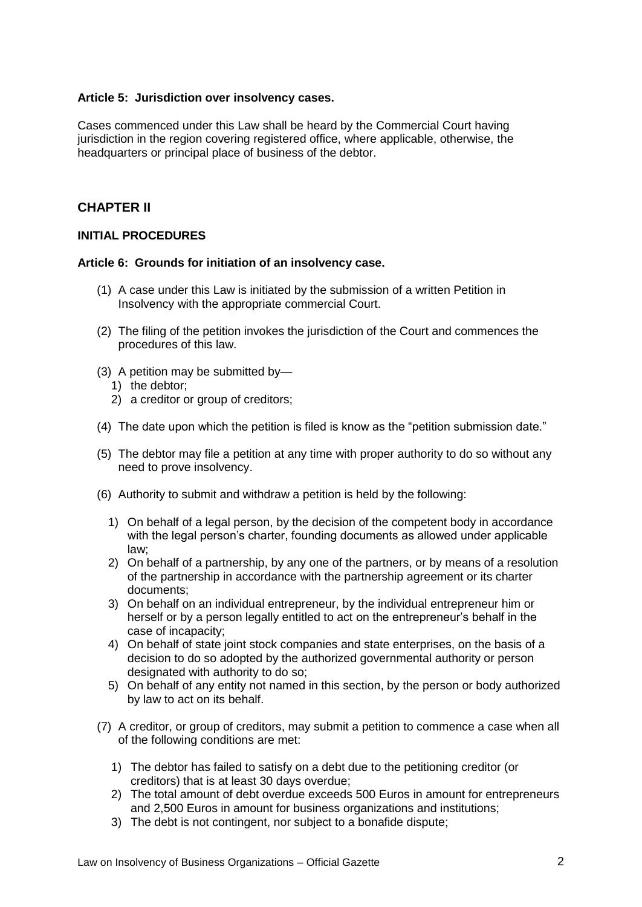# **Article 5: Jurisdiction over insolvency cases.**

Cases commenced under this Law shall be heard by the Commercial Court having jurisdiction in the region covering registered office, where applicable, otherwise, the headquarters or principal place of business of the debtor.

# **CHAPTER II**

# **INITIAL PROCEDURES**

# **Article 6: Grounds for initiation of an insolvency case.**

- (1) A case under this Law is initiated by the submission of a written Petition in Insolvency with the appropriate commercial Court.
- (2) The filing of the petition invokes the jurisdiction of the Court and commences the procedures of this law.
- (3) A petition may be submitted by—
	- 1) the debtor;
	- 2) a creditor or group of creditors;
- (4) The date upon which the petition is filed is know as the "petition submission date."
- (5) The debtor may file a petition at any time with proper authority to do so without any need to prove insolvency.
- (6) Authority to submit and withdraw a petition is held by the following:
	- 1) On behalf of a legal person, by the decision of the competent body in accordance with the legal person's charter, founding documents as allowed under applicable law;
	- 2) On behalf of a partnership, by any one of the partners, or by means of a resolution of the partnership in accordance with the partnership agreement or its charter documents;
	- 3) On behalf on an individual entrepreneur, by the individual entrepreneur him or herself or by a person legally entitled to act on the entrepreneur's behalf in the case of incapacity;
	- 4) On behalf of state joint stock companies and state enterprises, on the basis of a decision to do so adopted by the authorized governmental authority or person designated with authority to do so;
	- 5) On behalf of any entity not named in this section, by the person or body authorized by law to act on its behalf.
- (7) A creditor, or group of creditors, may submit a petition to commence a case when all of the following conditions are met:
	- 1) The debtor has failed to satisfy on a debt due to the petitioning creditor (or creditors) that is at least 30 days overdue;
	- 2) The total amount of debt overdue exceeds 500 Euros in amount for entrepreneurs and 2,500 Euros in amount for business organizations and institutions;
	- 3) The debt is not contingent, nor subject to a bonafide dispute;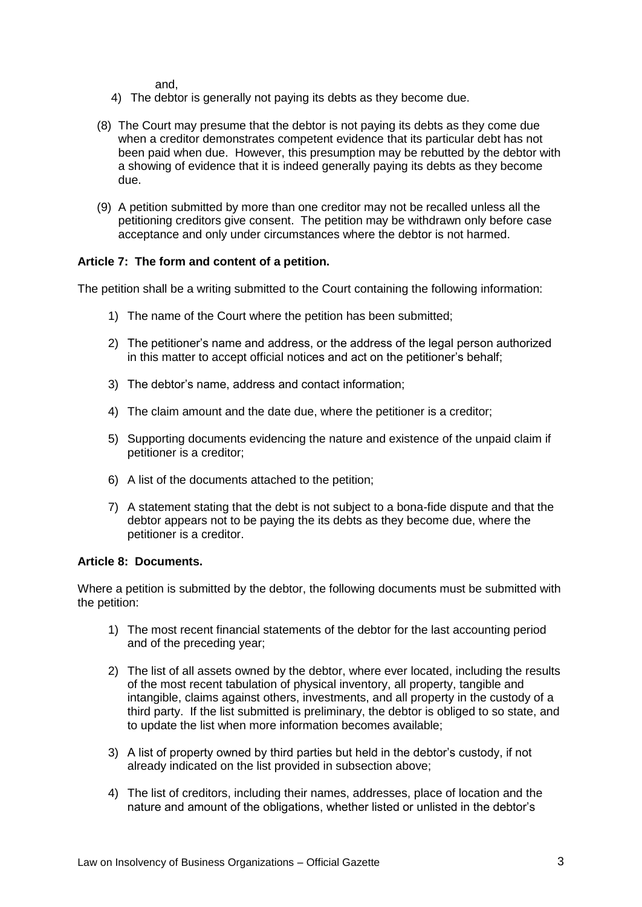and,

- 4) The debtor is generally not paying its debts as they become due.
- (8) The Court may presume that the debtor is not paying its debts as they come due when a creditor demonstrates competent evidence that its particular debt has not been paid when due. However, this presumption may be rebutted by the debtor with a showing of evidence that it is indeed generally paying its debts as they become due.
- (9) A petition submitted by more than one creditor may not be recalled unless all the petitioning creditors give consent. The petition may be withdrawn only before case acceptance and only under circumstances where the debtor is not harmed.

# **Article 7: The form and content of a petition.**

The petition shall be a writing submitted to the Court containing the following information:

- 1) The name of the Court where the petition has been submitted;
- 2) The petitioner's name and address, or the address of the legal person authorized in this matter to accept official notices and act on the petitioner's behalf;
- 3) The debtor's name, address and contact information;
- 4) The claim amount and the date due, where the petitioner is a creditor;
- 5) Supporting documents evidencing the nature and existence of the unpaid claim if petitioner is a creditor;
- 6) A list of the documents attached to the petition;
- 7) A statement stating that the debt is not subject to a bona-fide dispute and that the debtor appears not to be paying the its debts as they become due, where the petitioner is a creditor.

## **Article 8: Documents.**

Where a petition is submitted by the debtor, the following documents must be submitted with the petition:

- 1) The most recent financial statements of the debtor for the last accounting period and of the preceding year;
- 2) The list of all assets owned by the debtor, where ever located, including the results of the most recent tabulation of physical inventory, all property, tangible and intangible, claims against others, investments, and all property in the custody of a third party. If the list submitted is preliminary, the debtor is obliged to so state, and to update the list when more information becomes available;
- 3) A list of property owned by third parties but held in the debtor's custody, if not already indicated on the list provided in subsection above;
- 4) The list of creditors, including their names, addresses, place of location and the nature and amount of the obligations, whether listed or unlisted in the debtor's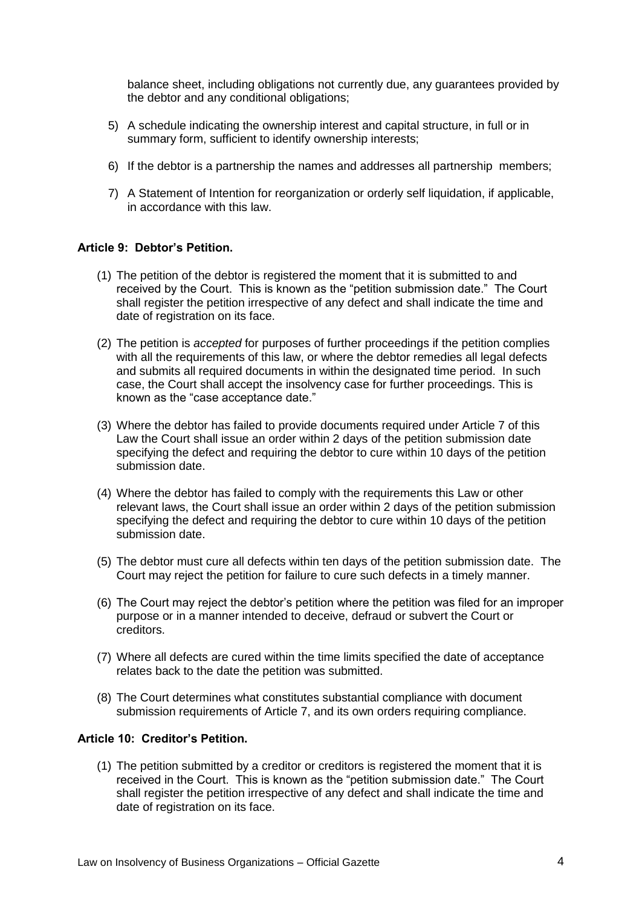balance sheet, including obligations not currently due, any guarantees provided by the debtor and any conditional obligations;

- 5) A schedule indicating the ownership interest and capital structure, in full or in summary form, sufficient to identify ownership interests;
- 6) If the debtor is a partnership the names and addresses all partnership members;
- 7) A Statement of Intention for reorganization or orderly self liquidation, if applicable, in accordance with this law.

### **Article 9: Debtor's Petition.**

- (1) The petition of the debtor is registered the moment that it is submitted to and received by the Court. This is known as the "petition submission date." The Court shall register the petition irrespective of any defect and shall indicate the time and date of registration on its face.
- (2) The petition is *accepted* for purposes of further proceedings if the petition complies with all the requirements of this law, or where the debtor remedies all legal defects and submits all required documents in within the designated time period. In such case, the Court shall accept the insolvency case for further proceedings. This is known as the "case acceptance date."
- (3) Where the debtor has failed to provide documents required under Article 7 of this Law the Court shall issue an order within 2 days of the petition submission date specifying the defect and requiring the debtor to cure within 10 days of the petition submission date.
- (4) Where the debtor has failed to comply with the requirements this Law or other relevant laws, the Court shall issue an order within 2 days of the petition submission specifying the defect and requiring the debtor to cure within 10 days of the petition submission date.
- (5) The debtor must cure all defects within ten days of the petition submission date. The Court may reject the petition for failure to cure such defects in a timely manner.
- (6) The Court may reject the debtor's petition where the petition was filed for an improper purpose or in a manner intended to deceive, defraud or subvert the Court or creditors.
- (7) Where all defects are cured within the time limits specified the date of acceptance relates back to the date the petition was submitted.
- (8) The Court determines what constitutes substantial compliance with document submission requirements of Article 7, and its own orders requiring compliance.

# **Article 10: Creditor's Petition.**

(1) The petition submitted by a creditor or creditors is registered the moment that it is received in the Court. This is known as the "petition submission date." The Court shall register the petition irrespective of any defect and shall indicate the time and date of registration on its face.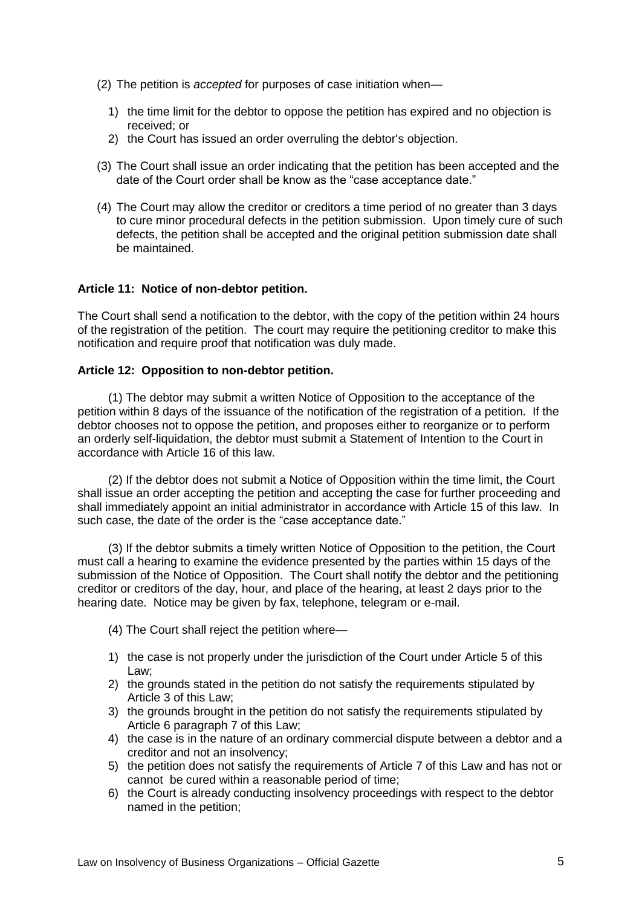- (2) The petition is *accepted* for purposes of case initiation when—
	- 1) the time limit for the debtor to oppose the petition has expired and no objection is received; or
	- 2) the Court has issued an order overruling the debtor's objection.
- (3) The Court shall issue an order indicating that the petition has been accepted and the date of the Court order shall be know as the "case acceptance date."
- (4) The Court may allow the creditor or creditors a time period of no greater than 3 days to cure minor procedural defects in the petition submission. Upon timely cure of such defects, the petition shall be accepted and the original petition submission date shall be maintained.

# **Article 11: Notice of non-debtor petition.**

The Court shall send a notification to the debtor, with the copy of the petition within 24 hours of the registration of the petition. The court may require the petitioning creditor to make this notification and require proof that notification was duly made.

# **Article 12: Opposition to non-debtor petition.**

(1) The debtor may submit a written Notice of Opposition to the acceptance of the petition within 8 days of the issuance of the notification of the registration of a petition. If the debtor chooses not to oppose the petition, and proposes either to reorganize or to perform an orderly self-liquidation, the debtor must submit a Statement of Intention to the Court in accordance with Article 16 of this law.

(2) If the debtor does not submit a Notice of Opposition within the time limit, the Court shall issue an order accepting the petition and accepting the case for further proceeding and shall immediately appoint an initial administrator in accordance with Article 15 of this law. In such case, the date of the order is the "case acceptance date."

(3) If the debtor submits a timely written Notice of Opposition to the petition, the Court must call a hearing to examine the evidence presented by the parties within 15 days of the submission of the Notice of Opposition. The Court shall notify the debtor and the petitioning creditor or creditors of the day, hour, and place of the hearing, at least 2 days prior to the hearing date. Notice may be given by fax, telephone, telegram or e-mail.

- (4) The Court shall reject the petition where—
- 1) the case is not properly under the jurisdiction of the Court under Article 5 of this Law;
- 2) the grounds stated in the petition do not satisfy the requirements stipulated by Article 3 of this Law;
- 3) the grounds brought in the petition do not satisfy the requirements stipulated by Article 6 paragraph 7 of this Law;
- 4) the case is in the nature of an ordinary commercial dispute between a debtor and a creditor and not an insolvency;
- 5) the petition does not satisfy the requirements of Article 7 of this Law and has not or cannot be cured within a reasonable period of time;
- 6) the Court is already conducting insolvency proceedings with respect to the debtor named in the petition;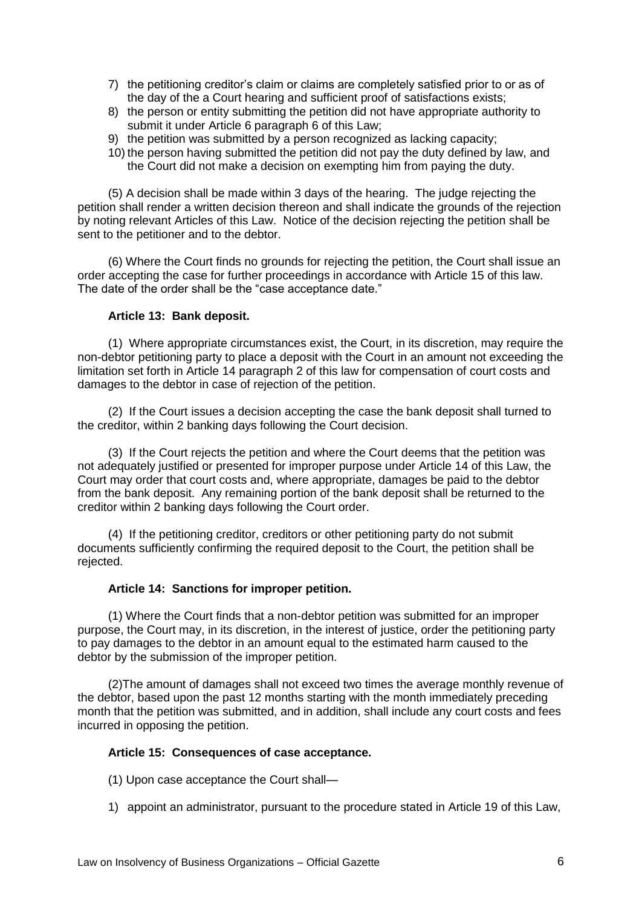- 7) the petitioning creditor's claim or claims are completely satisfied prior to or as of the day of the a Court hearing and sufficient proof of satisfactions exists;
- 8) the person or entity submitting the petition did not have appropriate authority to submit it under Article 6 paragraph 6 of this Law;
- 9) the petition was submitted by a person recognized as lacking capacity;
- 10) the person having submitted the petition did not pay the duty defined by law, and the Court did not make a decision on exempting him from paying the duty.

(5) A decision shall be made within 3 days of the hearing. The judge rejecting the petition shall render a written decision thereon and shall indicate the grounds of the rejection by noting relevant Articles of this Law. Notice of the decision rejecting the petition shall be sent to the petitioner and to the debtor.

(6) Where the Court finds no grounds for rejecting the petition, the Court shall issue an order accepting the case for further proceedings in accordance with Article 15 of this law. The date of the order shall be the "case acceptance date."

# **Article 13: Bank deposit.**

(1) Where appropriate circumstances exist, the Court, in its discretion, may require the non-debtor petitioning party to place a deposit with the Court in an amount not exceeding the limitation set forth in Article 14 paragraph 2 of this law for compensation of court costs and damages to the debtor in case of rejection of the petition.

(2) If the Court issues a decision accepting the case the bank deposit shall turned to the creditor, within 2 banking days following the Court decision.

(3) If the Court rejects the petition and where the Court deems that the petition was not adequately justified or presented for improper purpose under Article 14 of this Law, the Court may order that court costs and, where appropriate, damages be paid to the debtor from the bank deposit. Any remaining portion of the bank deposit shall be returned to the creditor within 2 banking days following the Court order.

(4) If the petitioning creditor, creditors or other petitioning party do not submit documents sufficiently confirming the required deposit to the Court, the petition shall be rejected.

### **Article 14: Sanctions for improper petition.**

(1) Where the Court finds that a non-debtor petition was submitted for an improper purpose, the Court may, in its discretion, in the interest of justice, order the petitioning party to pay damages to the debtor in an amount equal to the estimated harm caused to the debtor by the submission of the improper petition.

(2)The amount of damages shall not exceed two times the average monthly revenue of the debtor, based upon the past 12 months starting with the month immediately preceding month that the petition was submitted, and in addition, shall include any court costs and fees incurred in opposing the petition.

### **Article 15: Consequences of case acceptance.**

- (1) Upon case acceptance the Court shall—
- 1) appoint an administrator, pursuant to the procedure stated in Article 19 of this Law,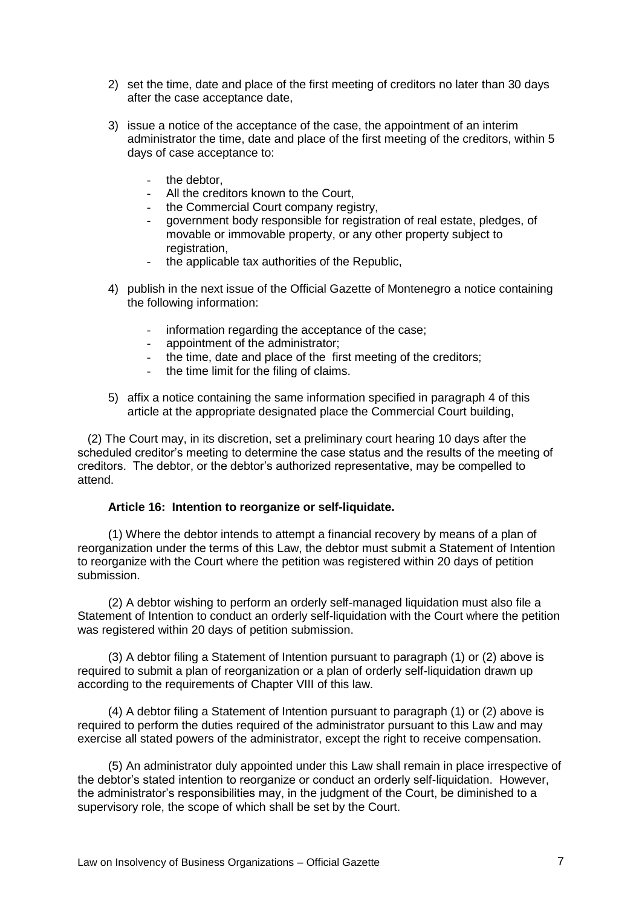- 2) set the time, date and place of the first meeting of creditors no later than 30 days after the case acceptance date,
- 3) issue a notice of the acceptance of the case, the appointment of an interim administrator the time, date and place of the first meeting of the creditors, within 5 days of case acceptance to:
	- the debtor,
	- All the creditors known to the Court.
	- the Commercial Court company registry.
	- government body responsible for registration of real estate, pledges, of movable or immovable property, or any other property subject to registration.
	- the applicable tax authorities of the Republic,
- 4) publish in the next issue of the Official Gazette of Montenegro a notice containing the following information:
	- information regarding the acceptance of the case;
	- appointment of the administrator;
	- the time, date and place of the first meeting of the creditors;
	- the time limit for the filing of claims.
- 5) affix a notice containing the same information specified in paragraph 4 of this article at the appropriate designated place the Commercial Court building,

 (2) The Court may, in its discretion, set a preliminary court hearing 10 days after the scheduled creditor's meeting to determine the case status and the results of the meeting of creditors. The debtor, or the debtor's authorized representative, may be compelled to attend.

### **Article 16: Intention to reorganize or self-liquidate.**

(1) Where the debtor intends to attempt a financial recovery by means of a plan of reorganization under the terms of this Law, the debtor must submit a Statement of Intention to reorganize with the Court where the petition was registered within 20 days of petition submission.

(2) A debtor wishing to perform an orderly self-managed liquidation must also file a Statement of Intention to conduct an orderly self-liquidation with the Court where the petition was registered within 20 days of petition submission.

(3) A debtor filing a Statement of Intention pursuant to paragraph (1) or (2) above is required to submit a plan of reorganization or a plan of orderly self-liquidation drawn up according to the requirements of Chapter VIII of this law.

(4) A debtor filing a Statement of Intention pursuant to paragraph (1) or (2) above is required to perform the duties required of the administrator pursuant to this Law and may exercise all stated powers of the administrator, except the right to receive compensation.

(5) An administrator duly appointed under this Law shall remain in place irrespective of the debtor's stated intention to reorganize or conduct an orderly self-liquidation. However, the administrator's responsibilities may, in the judgment of the Court, be diminished to a supervisory role, the scope of which shall be set by the Court.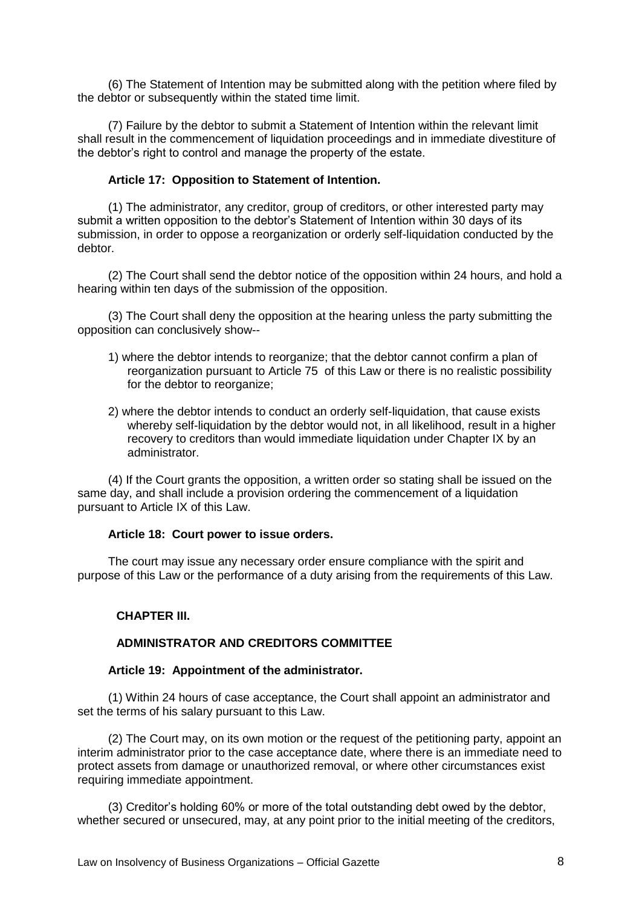(6) The Statement of Intention may be submitted along with the petition where filed by the debtor or subsequently within the stated time limit.

(7) Failure by the debtor to submit a Statement of Intention within the relevant limit shall result in the commencement of liquidation proceedings and in immediate divestiture of the debtor's right to control and manage the property of the estate.

### **Article 17: Opposition to Statement of Intention.**

(1) The administrator, any creditor, group of creditors, or other interested party may submit a written opposition to the debtor's Statement of Intention within 30 days of its submission, in order to oppose a reorganization or orderly self-liquidation conducted by the debtor.

(2) The Court shall send the debtor notice of the opposition within 24 hours, and hold a hearing within ten days of the submission of the opposition.

(3) The Court shall deny the opposition at the hearing unless the party submitting the opposition can conclusively show--

- 1) where the debtor intends to reorganize; that the debtor cannot confirm a plan of reorganization pursuant to Article 75 of this Law or there is no realistic possibility for the debtor to reorganize;
- 2) where the debtor intends to conduct an orderly self-liquidation, that cause exists whereby self-liquidation by the debtor would not, in all likelihood, result in a higher recovery to creditors than would immediate liquidation under Chapter IX by an administrator.

(4) If the Court grants the opposition, a written order so stating shall be issued on the same day, and shall include a provision ordering the commencement of a liquidation pursuant to Article IX of this Law.

#### **Article 18: Court power to issue orders.**

The court may issue any necessary order ensure compliance with the spirit and purpose of this Law or the performance of a duty arising from the requirements of this Law.

#### **CHAPTER III.**

### **ADMINISTRATOR AND CREDITORS COMMITTEE**

#### **Article 19: Appointment of the administrator.**

(1) Within 24 hours of case acceptance, the Court shall appoint an administrator and set the terms of his salary pursuant to this Law.

(2) The Court may, on its own motion or the request of the petitioning party, appoint an interim administrator prior to the case acceptance date, where there is an immediate need to protect assets from damage or unauthorized removal, or where other circumstances exist requiring immediate appointment.

(3) Creditor's holding 60% or more of the total outstanding debt owed by the debtor, whether secured or unsecured, may, at any point prior to the initial meeting of the creditors,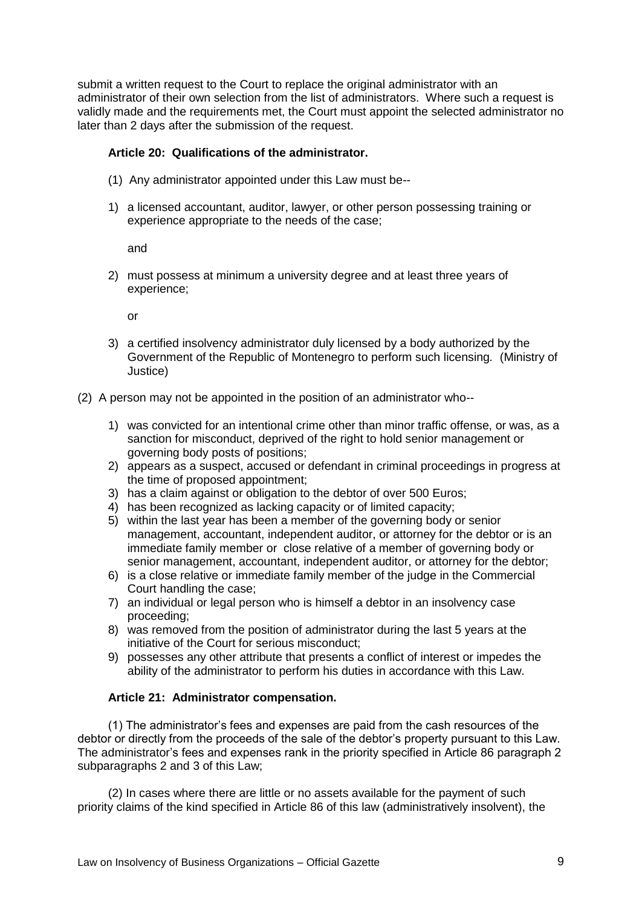submit a written request to the Court to replace the original administrator with an administrator of their own selection from the list of administrators. Where such a request is validly made and the requirements met, the Court must appoint the selected administrator no later than 2 days after the submission of the request.

# **Article 20: Qualifications of the administrator.**

- (1) Any administrator appointed under this Law must be--
- 1) a licensed accountant, auditor, lawyer, or other person possessing training or experience appropriate to the needs of the case;

and

2) must possess at minimum a university degree and at least three years of experience;

or

- 3) a certified insolvency administrator duly licensed by a body authorized by the Government of the Republic of Montenegro to perform such licensing*.* (Ministry of Justice)
- (2) A person may not be appointed in the position of an administrator who--
	- 1) was convicted for an intentional crime other than minor traffic offense, or was, as a sanction for misconduct, deprived of the right to hold senior management or governing body posts of positions;
	- 2) appears as a suspect, accused or defendant in criminal proceedings in progress at the time of proposed appointment;
	- 3) has a claim against or obligation to the debtor of over 500 Euros;
	- 4) has been recognized as lacking capacity or of limited capacity;
	- 5) within the last year has been a member of the governing body or senior management, accountant, independent auditor, or attorney for the debtor or is an immediate family member or close relative of a member of governing body or senior management, accountant, independent auditor, or attorney for the debtor;
	- 6) is a close relative or immediate family member of the judge in the Commercial Court handling the case;
	- 7) an individual or legal person who is himself a debtor in an insolvency case proceeding;
	- 8) was removed from the position of administrator during the last 5 years at the initiative of the Court for serious misconduct;
	- 9) possesses any other attribute that presents a conflict of interest or impedes the ability of the administrator to perform his duties in accordance with this Law.

### **Article 21: Administrator compensation.**

(1) The administrator's fees and expenses are paid from the cash resources of the debtor or directly from the proceeds of the sale of the debtor's property pursuant to this Law. The administrator's fees and expenses rank in the priority specified in Article 86 paragraph 2 subparagraphs 2 and 3 of this Law;

(2) In cases where there are little or no assets available for the payment of such priority claims of the kind specified in Article 86 of this law (administratively insolvent), the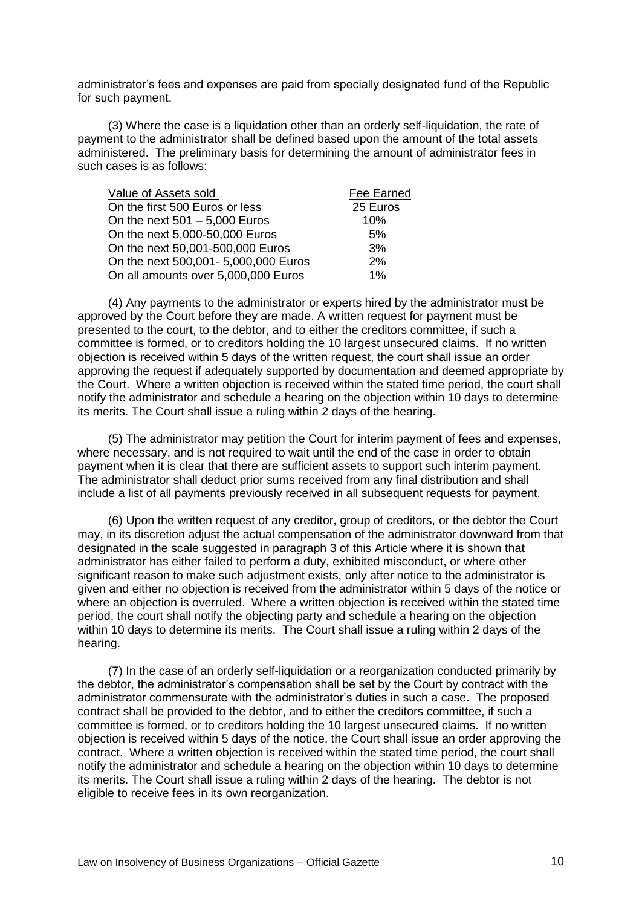administrator's fees and expenses are paid from specially designated fund of the Republic for such payment.

(3) Where the case is a liquidation other than an orderly self-liquidation, the rate of payment to the administrator shall be defined based upon the amount of the total assets administered. The preliminary basis for determining the amount of administrator fees in such cases is as follows:

| Value of Assets sold                 | Fee Earned |
|--------------------------------------|------------|
| On the first 500 Euros or less       | 25 Euros   |
| On the next $501 - 5,000$ Euros      | 10%        |
| On the next 5,000-50,000 Euros       | 5%         |
| On the next 50,001-500,000 Euros     | 3%         |
| On the next 500,001- 5,000,000 Euros | 2%         |
| On all amounts over 5,000,000 Euros  | 1%         |

(4) Any payments to the administrator or experts hired by the administrator must be approved by the Court before they are made. A written request for payment must be presented to the court, to the debtor, and to either the creditors committee, if such a committee is formed, or to creditors holding the 10 largest unsecured claims. If no written objection is received within 5 days of the written request, the court shall issue an order approving the request if adequately supported by documentation and deemed appropriate by the Court. Where a written objection is received within the stated time period, the court shall notify the administrator and schedule a hearing on the objection within 10 days to determine its merits. The Court shall issue a ruling within 2 days of the hearing.

(5) The administrator may petition the Court for interim payment of fees and expenses, where necessary, and is not required to wait until the end of the case in order to obtain payment when it is clear that there are sufficient assets to support such interim payment. The administrator shall deduct prior sums received from any final distribution and shall include a list of all payments previously received in all subsequent requests for payment.

(6) Upon the written request of any creditor, group of creditors, or the debtor the Court may, in its discretion adjust the actual compensation of the administrator downward from that designated in the scale suggested in paragraph 3 of this Article where it is shown that administrator has either failed to perform a duty, exhibited misconduct, or where other significant reason to make such adjustment exists, only after notice to the administrator is given and either no objection is received from the administrator within 5 days of the notice or where an objection is overruled. Where a written objection is received within the stated time period, the court shall notify the objecting party and schedule a hearing on the objection within 10 days to determine its merits. The Court shall issue a ruling within 2 days of the hearing.

(7) In the case of an orderly self-liquidation or a reorganization conducted primarily by the debtor, the administrator's compensation shall be set by the Court by contract with the administrator commensurate with the administrator's duties in such a case. The proposed contract shall be provided to the debtor, and to either the creditors committee, if such a committee is formed, or to creditors holding the 10 largest unsecured claims. If no written objection is received within 5 days of the notice, the Court shall issue an order approving the contract. Where a written objection is received within the stated time period, the court shall notify the administrator and schedule a hearing on the objection within 10 days to determine its merits. The Court shall issue a ruling within 2 days of the hearing. The debtor is not eligible to receive fees in its own reorganization.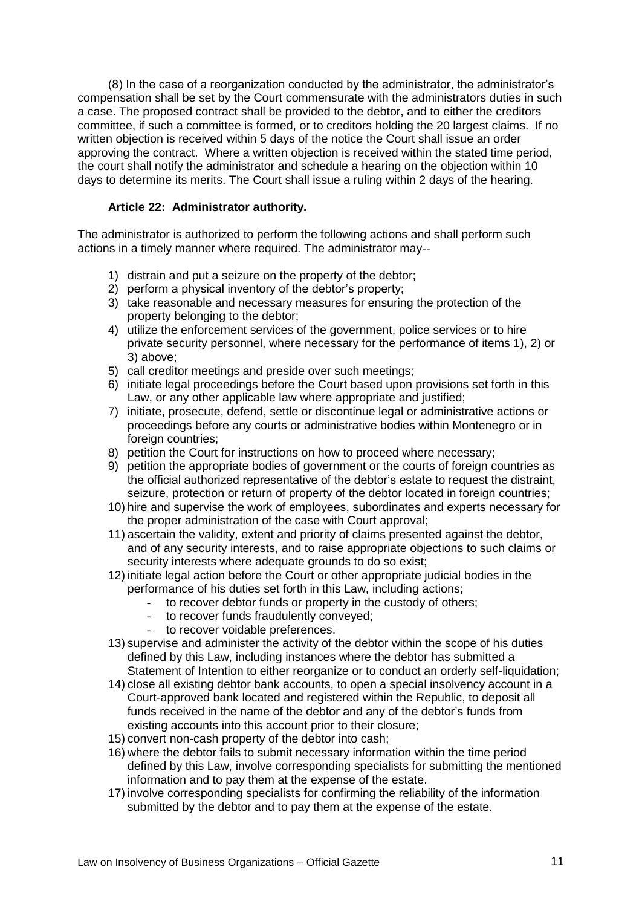(8) In the case of a reorganization conducted by the administrator, the administrator's compensation shall be set by the Court commensurate with the administrators duties in such a case. The proposed contract shall be provided to the debtor, and to either the creditors committee, if such a committee is formed, or to creditors holding the 20 largest claims. If no written objection is received within 5 days of the notice the Court shall issue an order approving the contract. Where a written objection is received within the stated time period, the court shall notify the administrator and schedule a hearing on the objection within 10 days to determine its merits. The Court shall issue a ruling within 2 days of the hearing.

# **Article 22: Administrator authority.**

The administrator is authorized to perform the following actions and shall perform such actions in a timely manner where required. The administrator may--

- 1) distrain and put a seizure on the property of the debtor;
- 2) perform a physical inventory of the debtor's property;
- 3) take reasonable and necessary measures for ensuring the protection of the property belonging to the debtor;
- 4) utilize the enforcement services of the government, police services or to hire private security personnel, where necessary for the performance of items 1), 2) or 3) above;
- 5) call creditor meetings and preside over such meetings;
- 6) initiate legal proceedings before the Court based upon provisions set forth in this Law, or any other applicable law where appropriate and justified;
- 7) initiate, prosecute, defend, settle or discontinue legal or administrative actions or proceedings before any courts or administrative bodies within Montenegro or in foreign countries:
- 8) petition the Court for instructions on how to proceed where necessary;
- 9) petition the appropriate bodies of government or the courts of foreign countries as the official authorized representative of the debtor's estate to request the distraint, seizure, protection or return of property of the debtor located in foreign countries;
- 10) hire and supervise the work of employees, subordinates and experts necessary for the proper administration of the case with Court approval;
- 11) ascertain the validity, extent and priority of claims presented against the debtor, and of any security interests, and to raise appropriate objections to such claims or security interests where adequate grounds to do so exist;
- 12) initiate legal action before the Court or other appropriate judicial bodies in the performance of his duties set forth in this Law, including actions;
	- to recover debtor funds or property in the custody of others;
	- to recover funds fraudulently conveyed;
	- to recover voidable preferences.
- 13) supervise and administer the activity of the debtor within the scope of his duties defined by this Law, including instances where the debtor has submitted a Statement of Intention to either reorganize or to conduct an orderly self-liquidation;
- 14) close all existing debtor bank accounts, to open a special insolvency account in a Court-approved bank located and registered within the Republic, to deposit all funds received in the name of the debtor and any of the debtor's funds from existing accounts into this account prior to their closure;
- 15) convert non-cash property of the debtor into cash;
- 16) where the debtor fails to submit necessary information within the time period defined by this Law, involve corresponding specialists for submitting the mentioned information and to pay them at the expense of the estate.
- 17) involve corresponding specialists for confirming the reliability of the information submitted by the debtor and to pay them at the expense of the estate.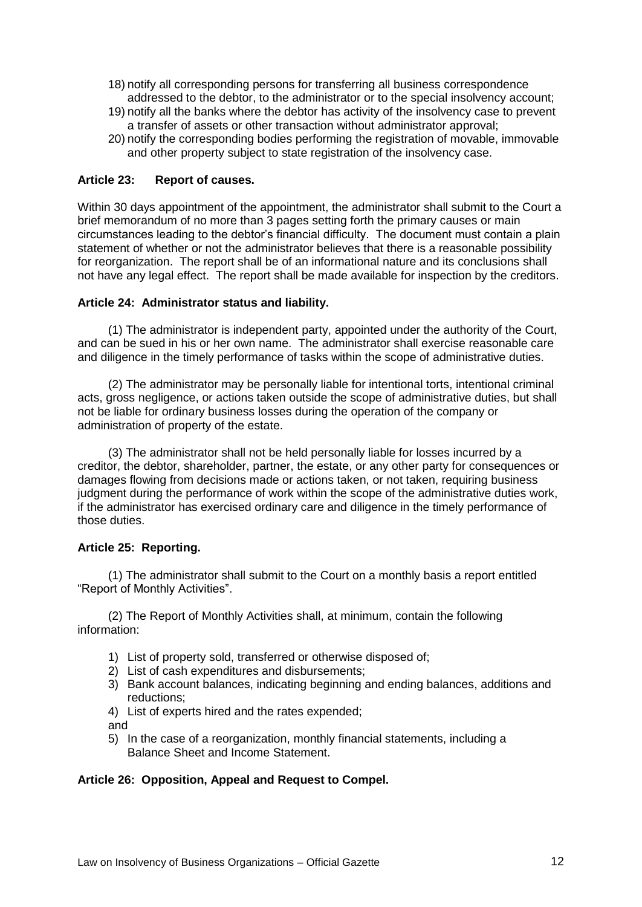- 18) notify all corresponding persons for transferring all business correspondence addressed to the debtor, to the administrator or to the special insolvency account;
- 19) notify all the banks where the debtor has activity of the insolvency case to prevent a transfer of assets or other transaction without administrator approval;
- 20) notify the corresponding bodies performing the registration of movable, immovable and other property subject to state registration of the insolvency case.

# **Article 23: Report of causes.**

Within 30 days appointment of the appointment, the administrator shall submit to the Court a brief memorandum of no more than 3 pages setting forth the primary causes or main circumstances leading to the debtor's financial difficulty. The document must contain a plain statement of whether or not the administrator believes that there is a reasonable possibility for reorganization. The report shall be of an informational nature and its conclusions shall not have any legal effect. The report shall be made available for inspection by the creditors.

#### **Article 24: Administrator status and liability.**

(1) The administrator is independent party, appointed under the authority of the Court, and can be sued in his or her own name. The administrator shall exercise reasonable care and diligence in the timely performance of tasks within the scope of administrative duties.

(2) The administrator may be personally liable for intentional torts, intentional criminal acts, gross negligence, or actions taken outside the scope of administrative duties, but shall not be liable for ordinary business losses during the operation of the company or administration of property of the estate.

(3) The administrator shall not be held personally liable for losses incurred by a creditor, the debtor, shareholder, partner, the estate, or any other party for consequences or damages flowing from decisions made or actions taken, or not taken, requiring business judgment during the performance of work within the scope of the administrative duties work, if the administrator has exercised ordinary care and diligence in the timely performance of those duties.

### **Article 25: Reporting.**

(1) The administrator shall submit to the Court on a monthly basis a report entitled "Report of Monthly Activities".

(2) The Report of Monthly Activities shall, at minimum, contain the following information:

- 1) List of property sold, transferred or otherwise disposed of;
- 2) List of cash expenditures and disbursements;
- 3) Bank account balances, indicating beginning and ending balances, additions and reductions;
- 4) List of experts hired and the rates expended;
- and
- 5) In the case of a reorganization, monthly financial statements, including a Balance Sheet and Income Statement.

### **Article 26: Opposition, Appeal and Request to Compel.**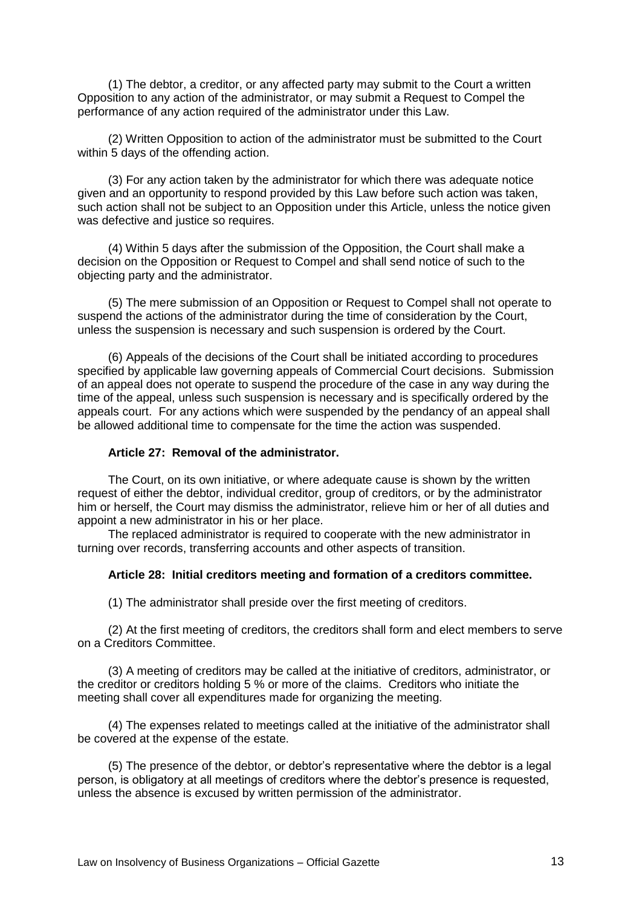(1) The debtor, a creditor, or any affected party may submit to the Court a written Opposition to any action of the administrator, or may submit a Request to Compel the performance of any action required of the administrator under this Law.

(2) Written Opposition to action of the administrator must be submitted to the Court within 5 days of the offending action.

(3) For any action taken by the administrator for which there was adequate notice given and an opportunity to respond provided by this Law before such action was taken, such action shall not be subject to an Opposition under this Article, unless the notice given was defective and justice so requires.

(4) Within 5 days after the submission of the Opposition, the Court shall make a decision on the Opposition or Request to Compel and shall send notice of such to the objecting party and the administrator.

(5) The mere submission of an Opposition or Request to Compel shall not operate to suspend the actions of the administrator during the time of consideration by the Court, unless the suspension is necessary and such suspension is ordered by the Court.

(6) Appeals of the decisions of the Court shall be initiated according to procedures specified by applicable law governing appeals of Commercial Court decisions. Submission of an appeal does not operate to suspend the procedure of the case in any way during the time of the appeal, unless such suspension is necessary and is specifically ordered by the appeals court. For any actions which were suspended by the pendancy of an appeal shall be allowed additional time to compensate for the time the action was suspended.

#### **Article 27: Removal of the administrator.**

The Court, on its own initiative, or where adequate cause is shown by the written request of either the debtor, individual creditor, group of creditors, or by the administrator him or herself, the Court may dismiss the administrator, relieve him or her of all duties and appoint a new administrator in his or her place.

The replaced administrator is required to cooperate with the new administrator in turning over records, transferring accounts and other aspects of transition.

#### **Article 28: Initial creditors meeting and formation of a creditors committee.**

(1) The administrator shall preside over the first meeting of creditors.

(2) At the first meeting of creditors, the creditors shall form and elect members to serve on a Creditors Committee.

(3) A meeting of creditors may be called at the initiative of creditors, administrator, or the creditor or creditors holding 5 % or more of the claims. Creditors who initiate the meeting shall cover all expenditures made for organizing the meeting.

(4) The expenses related to meetings called at the initiative of the administrator shall be covered at the expense of the estate.

(5) The presence of the debtor, or debtor's representative where the debtor is a legal person, is obligatory at all meetings of creditors where the debtor's presence is requested, unless the absence is excused by written permission of the administrator.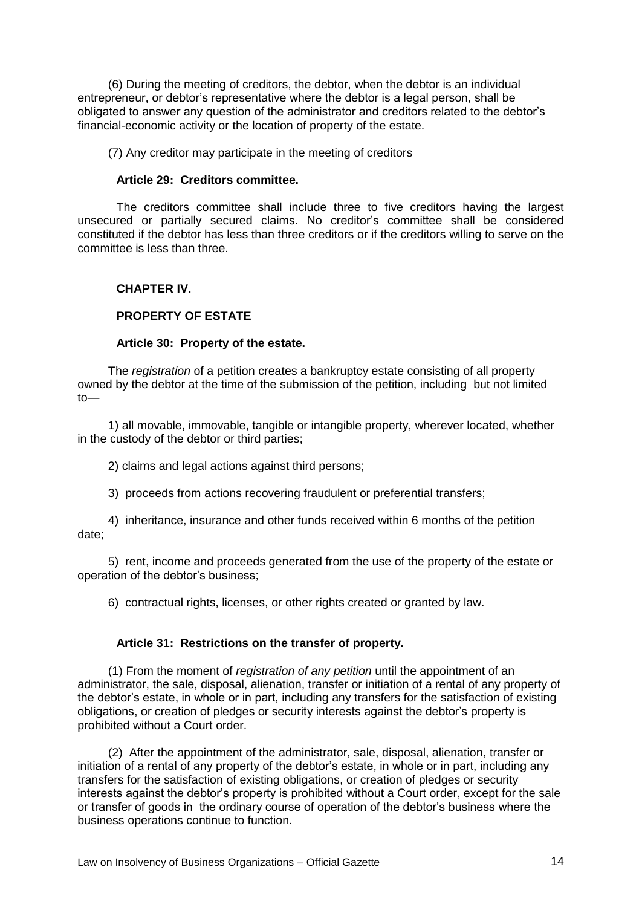(6) During the meeting of creditors, the debtor, when the debtor is an individual entrepreneur, or debtor's representative where the debtor is a legal person, shall be obligated to answer any question of the administrator and creditors related to the debtor's financial-economic activity or the location of property of the estate.

(7) Any creditor may participate in the meeting of creditors

#### **Article 29: Creditors committee.**

The creditors committee shall include three to five creditors having the largest unsecured or partially secured claims. No creditor's committee shall be considered constituted if the debtor has less than three creditors or if the creditors willing to serve on the committee is less than three.

### **CHAPTER IV.**

# **PROPERTY OF ESTATE**

#### **Article 30: Property of the estate.**

The *registration* of a petition creates a bankruptcy estate consisting of all property owned by the debtor at the time of the submission of the petition, including but not limited  $t$ <sup> $\sim$ </sup>

1) all movable, immovable, tangible or intangible property, wherever located, whether in the custody of the debtor or third parties;

2) claims and legal actions against third persons;

3) proceeds from actions recovering fraudulent or preferential transfers;

4) inheritance, insurance and other funds received within 6 months of the petition date;

5) rent, income and proceeds generated from the use of the property of the estate or operation of the debtor's business;

6) contractual rights, licenses, or other rights created or granted by law.

#### **Article 31: Restrictions on the transfer of property.**

(1) From the moment of *registration of any petition* until the appointment of an administrator, the sale, disposal, alienation, transfer or initiation of a rental of any property of the debtor's estate, in whole or in part, including any transfers for the satisfaction of existing obligations, or creation of pledges or security interests against the debtor's property is prohibited without a Court order.

(2) After the appointment of the administrator, sale, disposal, alienation, transfer or initiation of a rental of any property of the debtor's estate, in whole or in part, including any transfers for the satisfaction of existing obligations, or creation of pledges or security interests against the debtor's property is prohibited without a Court order, except for the sale or transfer of goods in the ordinary course of operation of the debtor's business where the business operations continue to function.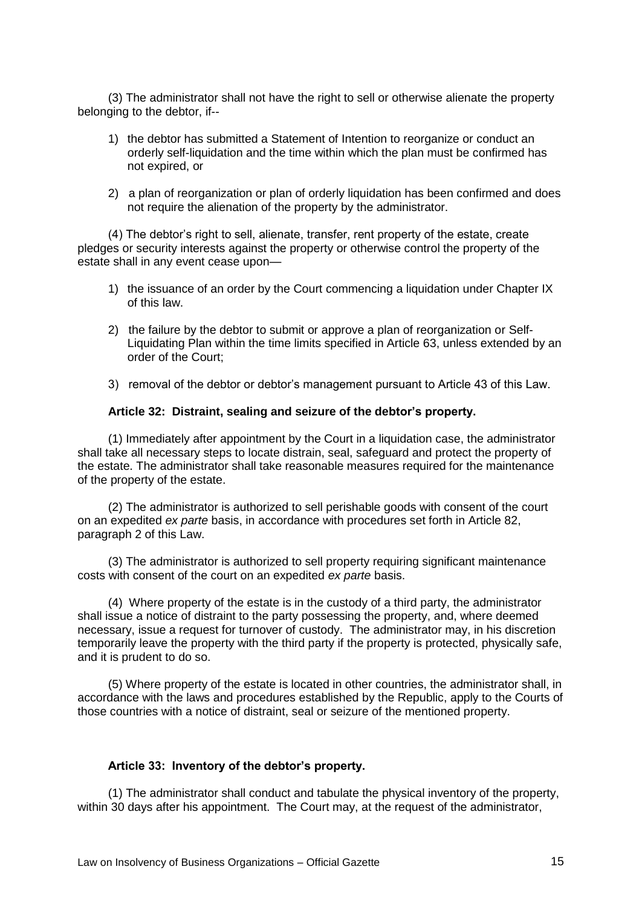(3) The administrator shall not have the right to sell or otherwise alienate the property belonging to the debtor, if--

- 1) the debtor has submitted a Statement of Intention to reorganize or conduct an orderly self-liquidation and the time within which the plan must be confirmed has not expired, or
- 2) a plan of reorganization or plan of orderly liquidation has been confirmed and does not require the alienation of the property by the administrator.

(4) The debtor's right to sell, alienate, transfer, rent property of the estate, create pledges or security interests against the property or otherwise control the property of the estate shall in any event cease upon—

- 1) the issuance of an order by the Court commencing a liquidation under Chapter IX of this law.
- 2) the failure by the debtor to submit or approve a plan of reorganization or Self-Liquidating Plan within the time limits specified in Article 63, unless extended by an order of the Court;
- 3) removal of the debtor or debtor's management pursuant to Article 43 of this Law.

### **Article 32: Distraint, sealing and seizure of the debtor's property.**

(1) Immediately after appointment by the Court in a liquidation case, the administrator shall take all necessary steps to locate distrain, seal, safeguard and protect the property of the estate. The administrator shall take reasonable measures required for the maintenance of the property of the estate.

(2) The administrator is authorized to sell perishable goods with consent of the court on an expedited *ex parte* basis, in accordance with procedures set forth in Article 82, paragraph 2 of this Law.

(3) The administrator is authorized to sell property requiring significant maintenance costs with consent of the court on an expedited *ex parte* basis.

(4) Where property of the estate is in the custody of a third party, the administrator shall issue a notice of distraint to the party possessing the property, and, where deemed necessary, issue a request for turnover of custody. The administrator may, in his discretion temporarily leave the property with the third party if the property is protected, physically safe, and it is prudent to do so.

(5) Where property of the estate is located in other countries, the administrator shall, in accordance with the laws and procedures established by the Republic, apply to the Courts of those countries with a notice of distraint, seal or seizure of the mentioned property.

### **Article 33: Inventory of the debtor's property.**

(1) The administrator shall conduct and tabulate the physical inventory of the property, within 30 days after his appointment. The Court may, at the request of the administrator,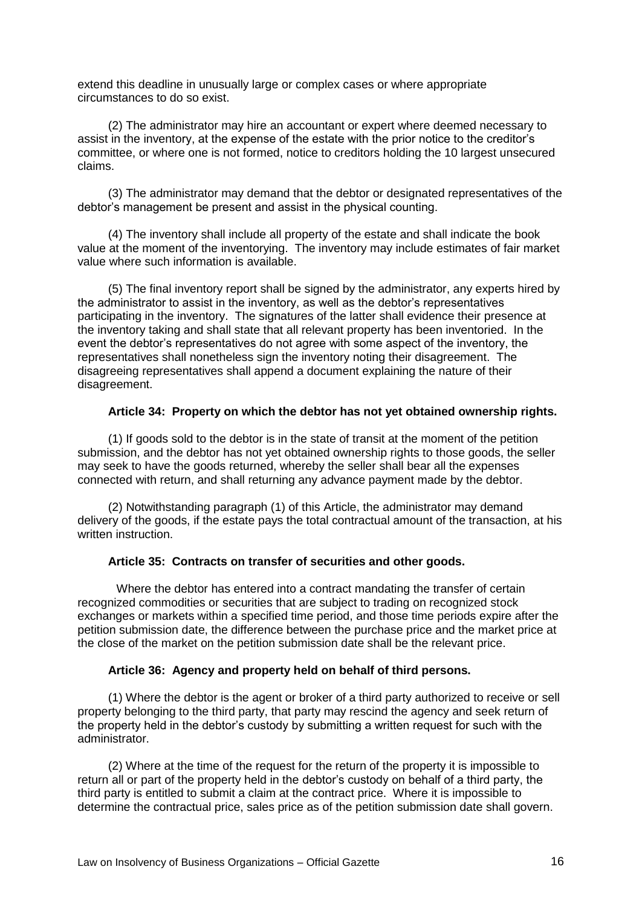extend this deadline in unusually large or complex cases or where appropriate circumstances to do so exist.

(2) The administrator may hire an accountant or expert where deemed necessary to assist in the inventory, at the expense of the estate with the prior notice to the creditor's committee, or where one is not formed, notice to creditors holding the 10 largest unsecured claims.

(3) The administrator may demand that the debtor or designated representatives of the debtor's management be present and assist in the physical counting.

(4) The inventory shall include all property of the estate and shall indicate the book value at the moment of the inventorying. The inventory may include estimates of fair market value where such information is available.

(5) The final inventory report shall be signed by the administrator, any experts hired by the administrator to assist in the inventory, as well as the debtor's representatives participating in the inventory. The signatures of the latter shall evidence their presence at the inventory taking and shall state that all relevant property has been inventoried. In the event the debtor's representatives do not agree with some aspect of the inventory, the representatives shall nonetheless sign the inventory noting their disagreement. The disagreeing representatives shall append a document explaining the nature of their disagreement.

### **Article 34: Property on which the debtor has not yet obtained ownership rights.**

(1) If goods sold to the debtor is in the state of transit at the moment of the petition submission, and the debtor has not yet obtained ownership rights to those goods, the seller may seek to have the goods returned, whereby the seller shall bear all the expenses connected with return, and shall returning any advance payment made by the debtor.

(2) Notwithstanding paragraph (1) of this Article, the administrator may demand delivery of the goods, if the estate pays the total contractual amount of the transaction, at his written instruction.

# **Article 35: Contracts on transfer of securities and other goods.**

Where the debtor has entered into a contract mandating the transfer of certain recognized commodities or securities that are subject to trading on recognized stock exchanges or markets within a specified time period, and those time periods expire after the petition submission date, the difference between the purchase price and the market price at the close of the market on the petition submission date shall be the relevant price.

### **Article 36: Agency and property held on behalf of third persons.**

(1) Where the debtor is the agent or broker of a third party authorized to receive or sell property belonging to the third party, that party may rescind the agency and seek return of the property held in the debtor's custody by submitting a written request for such with the administrator.

(2) Where at the time of the request for the return of the property it is impossible to return all or part of the property held in the debtor's custody on behalf of a third party, the third party is entitled to submit a claim at the contract price. Where it is impossible to determine the contractual price, sales price as of the petition submission date shall govern.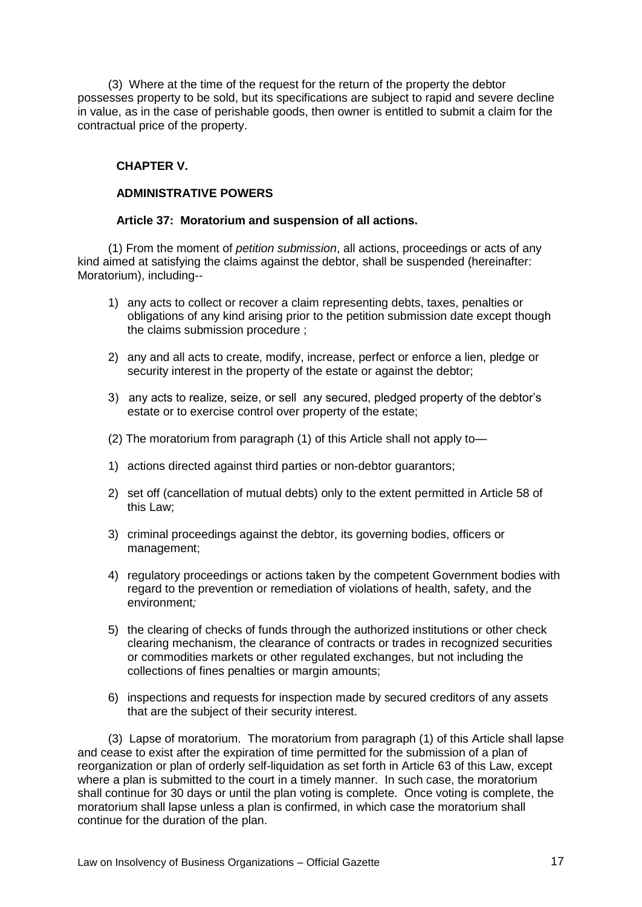(3) Where at the time of the request for the return of the property the debtor possesses property to be sold, but its specifications are subject to rapid and severe decline in value, as in the case of perishable goods, then owner is entitled to submit a claim for the contractual price of the property.

# **CHAPTER V.**

# **ADMINISTRATIVE POWERS**

### **Article 37: Moratorium and suspension of all actions.**

(1) From the moment of *petition submission*, all actions, proceedings or acts of any kind aimed at satisfying the claims against the debtor, shall be suspended (hereinafter: Moratorium), including--

- 1) any acts to collect or recover a claim representing debts, taxes, penalties or obligations of any kind arising prior to the petition submission date except though the claims submission procedure ;
- 2) any and all acts to create, modify, increase, perfect or enforce a lien, pledge or security interest in the property of the estate or against the debtor;
- 3) any acts to realize, seize, or sell any secured, pledged property of the debtor's estate or to exercise control over property of the estate;
- (2) The moratorium from paragraph (1) of this Article shall not apply to—
- 1) actions directed against third parties or non-debtor guarantors;
- 2) set off (cancellation of mutual debts) only to the extent permitted in Article 58 of this Law;
- 3) criminal proceedings against the debtor, its governing bodies, officers or management;
- 4) regulatory proceedings or actions taken by the competent Government bodies with regard to the prevention or remediation of violations of health, safety, and the environment*;*
- 5) the clearing of checks of funds through the authorized institutions or other check clearing mechanism, the clearance of contracts or trades in recognized securities or commodities markets or other regulated exchanges, but not including the collections of fines penalties or margin amounts;
- 6) inspections and requests for inspection made by secured creditors of any assets that are the subject of their security interest.

(3) Lapse of moratorium. The moratorium from paragraph (1) of this Article shall lapse and cease to exist after the expiration of time permitted for the submission of a plan of reorganization or plan of orderly self-liquidation as set forth in Article 63 of this Law, except where a plan is submitted to the court in a timely manner. In such case, the moratorium shall continue for 30 days or until the plan voting is complete. Once voting is complete, the moratorium shall lapse unless a plan is confirmed, in which case the moratorium shall continue for the duration of the plan.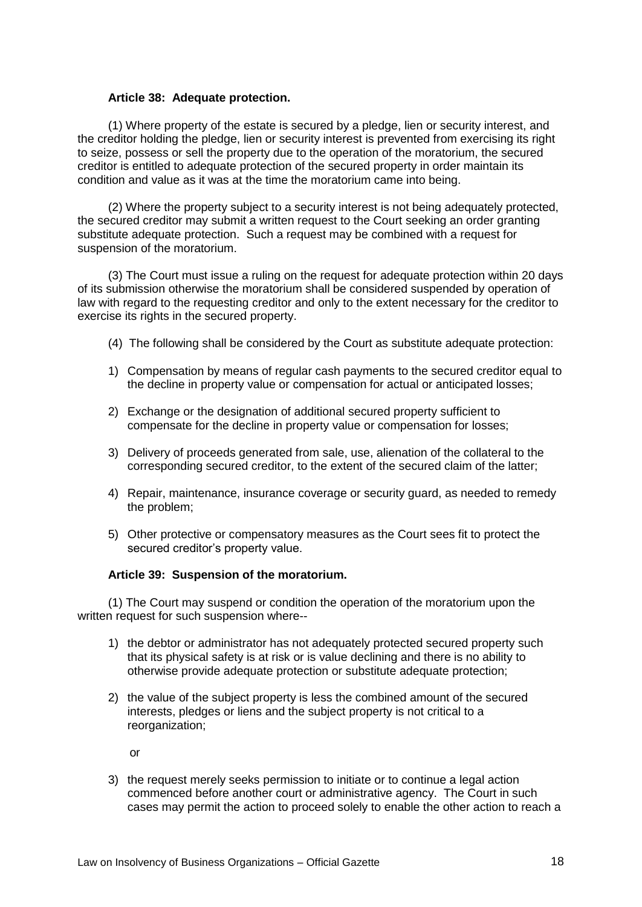### **Article 38: Adequate protection.**

(1) Where property of the estate is secured by a pledge, lien or security interest, and the creditor holding the pledge, lien or security interest is prevented from exercising its right to seize, possess or sell the property due to the operation of the moratorium, the secured creditor is entitled to adequate protection of the secured property in order maintain its condition and value as it was at the time the moratorium came into being.

(2) Where the property subject to a security interest is not being adequately protected, the secured creditor may submit a written request to the Court seeking an order granting substitute adequate protection. Such a request may be combined with a request for suspension of the moratorium.

(3) The Court must issue a ruling on the request for adequate protection within 20 days of its submission otherwise the moratorium shall be considered suspended by operation of law with regard to the requesting creditor and only to the extent necessary for the creditor to exercise its rights in the secured property.

- (4) The following shall be considered by the Court as substitute adequate protection:
- 1) Compensation by means of regular cash payments to the secured creditor equal to the decline in property value or compensation for actual or anticipated losses;
- 2) Exchange or the designation of additional secured property sufficient to compensate for the decline in property value or compensation for losses;
- 3) Delivery of proceeds generated from sale, use, alienation of the collateral to the corresponding secured creditor, to the extent of the secured claim of the latter;
- 4) Repair, maintenance, insurance coverage or security guard, as needed to remedy the problem;
- 5) Other protective or compensatory measures as the Court sees fit to protect the secured creditor's property value.

### **Article 39: Suspension of the moratorium.**

(1) The Court may suspend or condition the operation of the moratorium upon the written request for such suspension where--

- 1) the debtor or administrator has not adequately protected secured property such that its physical safety is at risk or is value declining and there is no ability to otherwise provide adequate protection or substitute adequate protection;
- 2) the value of the subject property is less the combined amount of the secured interests, pledges or liens and the subject property is not critical to a reorganization;

or

3) the request merely seeks permission to initiate or to continue a legal action commenced before another court or administrative agency. The Court in such cases may permit the action to proceed solely to enable the other action to reach a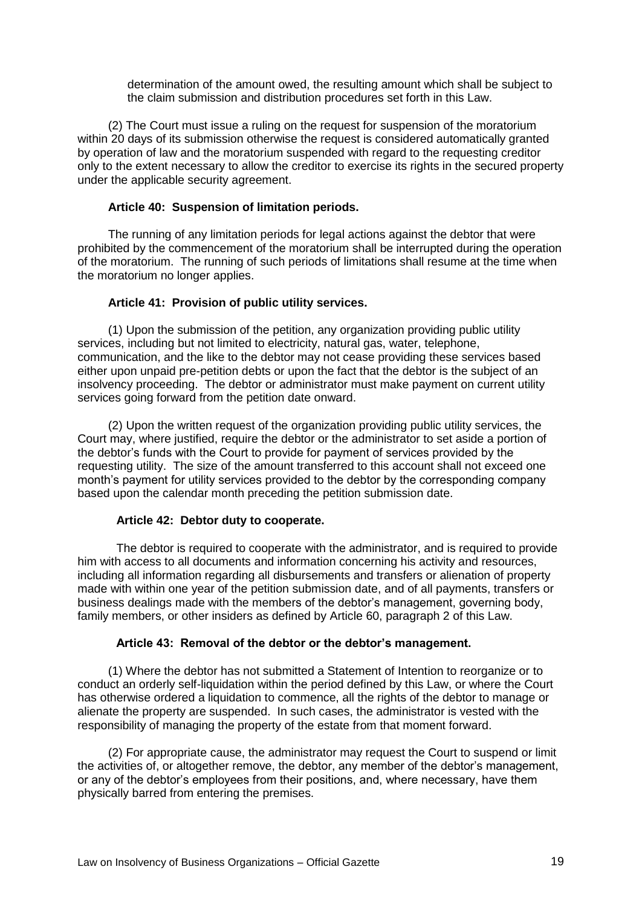determination of the amount owed, the resulting amount which shall be subject to the claim submission and distribution procedures set forth in this Law.

(2) The Court must issue a ruling on the request for suspension of the moratorium within 20 days of its submission otherwise the request is considered automatically granted by operation of law and the moratorium suspended with regard to the requesting creditor only to the extent necessary to allow the creditor to exercise its rights in the secured property under the applicable security agreement.

# **Article 40: Suspension of limitation periods.**

The running of any limitation periods for legal actions against the debtor that were prohibited by the commencement of the moratorium shall be interrupted during the operation of the moratorium. The running of such periods of limitations shall resume at the time when the moratorium no longer applies.

# **Article 41: Provision of public utility services.**

(1) Upon the submission of the petition, any organization providing public utility services, including but not limited to electricity, natural gas, water, telephone, communication, and the like to the debtor may not cease providing these services based either upon unpaid pre-petition debts or upon the fact that the debtor is the subject of an insolvency proceeding. The debtor or administrator must make payment on current utility services going forward from the petition date onward.

(2) Upon the written request of the organization providing public utility services, the Court may, where justified, require the debtor or the administrator to set aside a portion of the debtor's funds with the Court to provide for payment of services provided by the requesting utility. The size of the amount transferred to this account shall not exceed one month's payment for utility services provided to the debtor by the corresponding company based upon the calendar month preceding the petition submission date.

### **Article 42: Debtor duty to cooperate.**

The debtor is required to cooperate with the administrator, and is required to provide him with access to all documents and information concerning his activity and resources, including all information regarding all disbursements and transfers or alienation of property made with within one year of the petition submission date, and of all payments, transfers or business dealings made with the members of the debtor's management, governing body, family members, or other insiders as defined by Article 60, paragraph 2 of this Law.

### **Article 43: Removal of the debtor or the debtor's management.**

(1) Where the debtor has not submitted a Statement of Intention to reorganize or to conduct an orderly self-liquidation within the period defined by this Law, or where the Court has otherwise ordered a liquidation to commence, all the rights of the debtor to manage or alienate the property are suspended. In such cases, the administrator is vested with the responsibility of managing the property of the estate from that moment forward.

(2) For appropriate cause, the administrator may request the Court to suspend or limit the activities of, or altogether remove, the debtor, any member of the debtor's management, or any of the debtor's employees from their positions, and, where necessary, have them physically barred from entering the premises.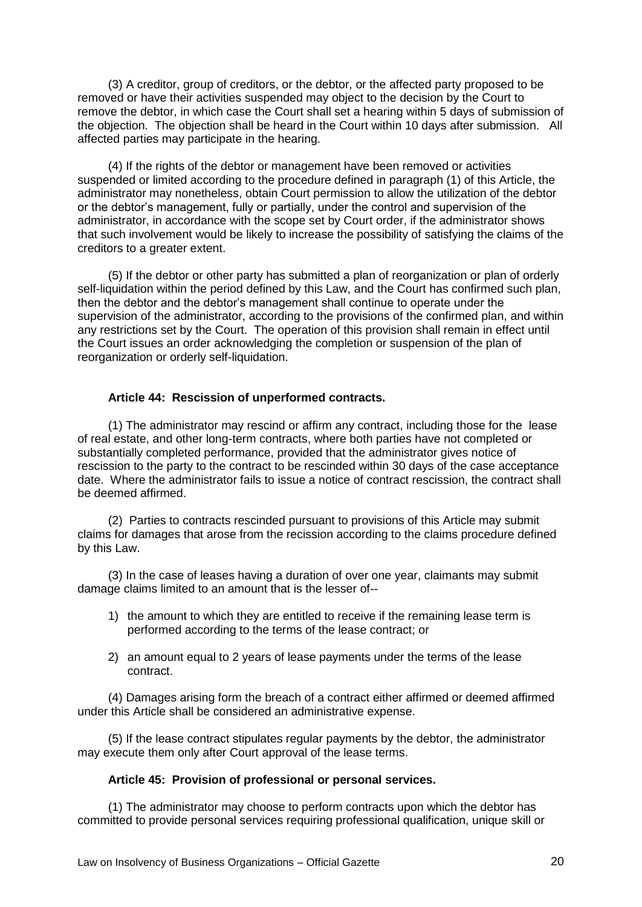(3) A creditor, group of creditors, or the debtor, or the affected party proposed to be removed or have their activities suspended may object to the decision by the Court to remove the debtor, in which case the Court shall set a hearing within 5 days of submission of the objection. The objection shall be heard in the Court within 10 days after submission. All affected parties may participate in the hearing.

(4) If the rights of the debtor or management have been removed or activities suspended or limited according to the procedure defined in paragraph (1) of this Article, the administrator may nonetheless, obtain Court permission to allow the utilization of the debtor or the debtor's management, fully or partially, under the control and supervision of the administrator, in accordance with the scope set by Court order, if the administrator shows that such involvement would be likely to increase the possibility of satisfying the claims of the creditors to a greater extent.

(5) If the debtor or other party has submitted a plan of reorganization or plan of orderly self-liquidation within the period defined by this Law, and the Court has confirmed such plan, then the debtor and the debtor's management shall continue to operate under the supervision of the administrator, according to the provisions of the confirmed plan, and within any restrictions set by the Court. The operation of this provision shall remain in effect until the Court issues an order acknowledging the completion or suspension of the plan of reorganization or orderly self-liquidation.

### **Article 44: Rescission of unperformed contracts.**

(1) The administrator may rescind or affirm any contract, including those for the lease of real estate, and other long-term contracts, where both parties have not completed or substantially completed performance, provided that the administrator gives notice of rescission to the party to the contract to be rescinded within 30 days of the case acceptance date. Where the administrator fails to issue a notice of contract rescission, the contract shall be deemed affirmed.

(2) Parties to contracts rescinded pursuant to provisions of this Article may submit claims for damages that arose from the recission according to the claims procedure defined by this Law.

(3) In the case of leases having a duration of over one year, claimants may submit damage claims limited to an amount that is the lesser of--

- 1) the amount to which they are entitled to receive if the remaining lease term is performed according to the terms of the lease contract; or
- 2) an amount equal to 2 years of lease payments under the terms of the lease contract.

(4) Damages arising form the breach of a contract either affirmed or deemed affirmed under this Article shall be considered an administrative expense.

(5) If the lease contract stipulates regular payments by the debtor, the administrator may execute them only after Court approval of the lease terms.

### **Article 45: Provision of professional or personal services.**

(1) The administrator may choose to perform contracts upon which the debtor has committed to provide personal services requiring professional qualification, unique skill or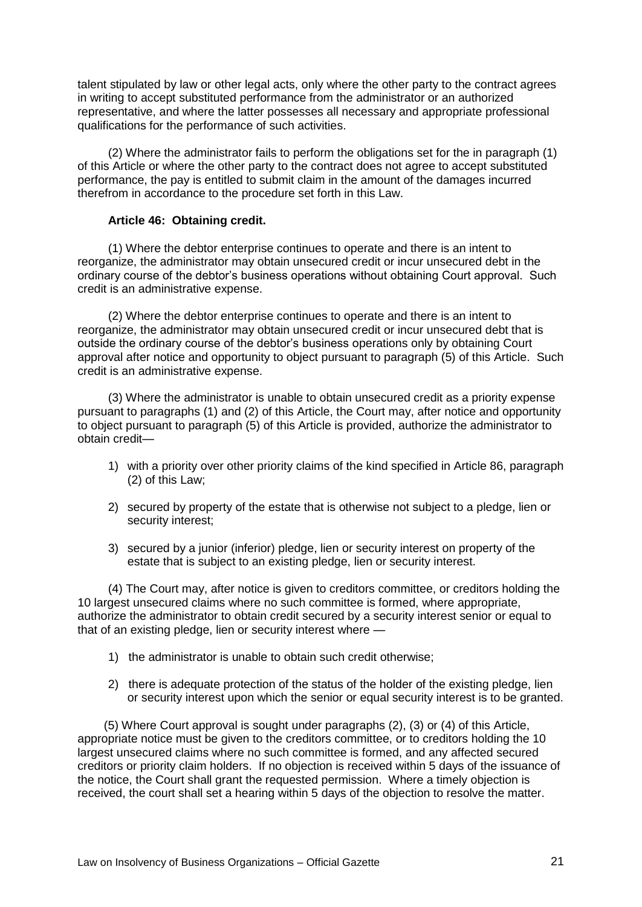talent stipulated by law or other legal acts, only where the other party to the contract agrees in writing to accept substituted performance from the administrator or an authorized representative, and where the latter possesses all necessary and appropriate professional qualifications for the performance of such activities.

(2) Where the administrator fails to perform the obligations set for the in paragraph (1) of this Article or where the other party to the contract does not agree to accept substituted performance, the pay is entitled to submit claim in the amount of the damages incurred therefrom in accordance to the procedure set forth in this Law.

### **Article 46: Obtaining credit.**

(1) Where the debtor enterprise continues to operate and there is an intent to reorganize, the administrator may obtain unsecured credit or incur unsecured debt in the ordinary course of the debtor's business operations without obtaining Court approval. Such credit is an administrative expense.

(2) Where the debtor enterprise continues to operate and there is an intent to reorganize, the administrator may obtain unsecured credit or incur unsecured debt that is outside the ordinary course of the debtor's business operations only by obtaining Court approval after notice and opportunity to object pursuant to paragraph (5) of this Article. Such credit is an administrative expense.

(3) Where the administrator is unable to obtain unsecured credit as a priority expense pursuant to paragraphs (1) and (2) of this Article, the Court may, after notice and opportunity to object pursuant to paragraph (5) of this Article is provided, authorize the administrator to obtain credit—

- 1) with a priority over other priority claims of the kind specified in Article 86, paragraph (2) of this Law;
- 2) secured by property of the estate that is otherwise not subject to a pledge, lien or security interest;
- 3) secured by a junior (inferior) pledge, lien or security interest on property of the estate that is subject to an existing pledge, lien or security interest.

(4) The Court may, after notice is given to creditors committee, or creditors holding the 10 largest unsecured claims where no such committee is formed, where appropriate, authorize the administrator to obtain credit secured by a security interest senior or equal to that of an existing pledge, lien or security interest where -

- 1) the administrator is unable to obtain such credit otherwise;
- 2) there is adequate protection of the status of the holder of the existing pledge, lien or security interest upon which the senior or equal security interest is to be granted.

 (5) Where Court approval is sought under paragraphs (2), (3) or (4) of this Article, appropriate notice must be given to the creditors committee, or to creditors holding the 10 largest unsecured claims where no such committee is formed, and any affected secured creditors or priority claim holders. If no objection is received within 5 days of the issuance of the notice, the Court shall grant the requested permission. Where a timely objection is received, the court shall set a hearing within 5 days of the objection to resolve the matter.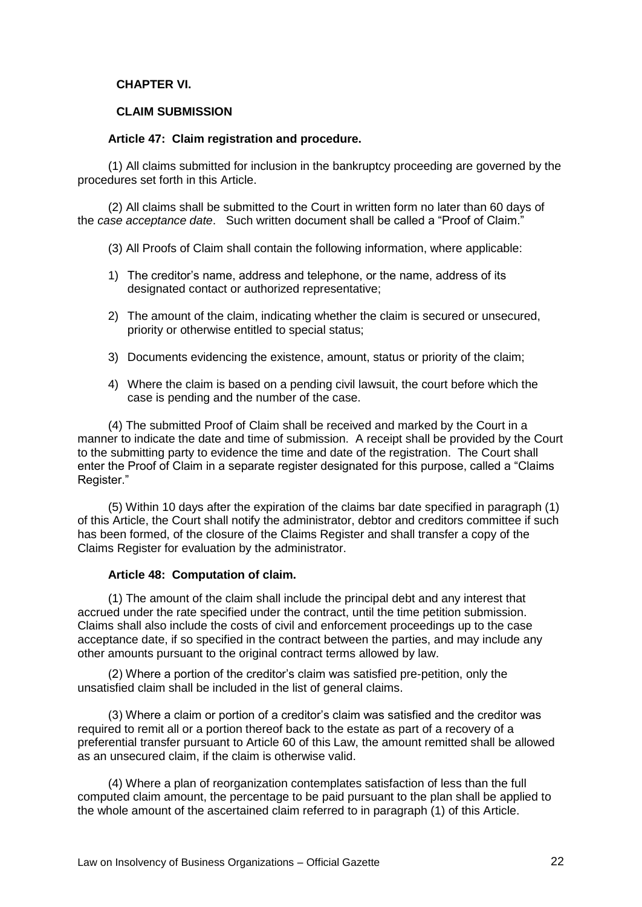# **CHAPTER VI.**

# **CLAIM SUBMISSION**

### **Article 47: Claim registration and procedure.**

(1) All claims submitted for inclusion in the bankruptcy proceeding are governed by the procedures set forth in this Article.

(2) All claims shall be submitted to the Court in written form no later than 60 days of the *case acceptance date.* Such written document shall be called a "Proof of Claim."

- (3) All Proofs of Claim shall contain the following information, where applicable:
- 1) The creditor's name, address and telephone, or the name, address of its designated contact or authorized representative;
- 2) The amount of the claim, indicating whether the claim is secured or unsecured, priority or otherwise entitled to special status;
- 3) Documents evidencing the existence, amount, status or priority of the claim;
- 4) Where the claim is based on a pending civil lawsuit, the court before which the case is pending and the number of the case.

(4) The submitted Proof of Claim shall be received and marked by the Court in a manner to indicate the date and time of submission. A receipt shall be provided by the Court to the submitting party to evidence the time and date of the registration. The Court shall enter the Proof of Claim in a separate register designated for this purpose, called a "Claims" Register.‖

(5) Within 10 days after the expiration of the claims bar date specified in paragraph (1) of this Article, the Court shall notify the administrator, debtor and creditors committee if such has been formed, of the closure of the Claims Register and shall transfer a copy of the Claims Register for evaluation by the administrator.

### **Article 48: Computation of claim.**

(1) The amount of the claim shall include the principal debt and any interest that accrued under the rate specified under the contract, until the time petition submission. Claims shall also include the costs of civil and enforcement proceedings up to the case acceptance date, if so specified in the contract between the parties, and may include any other amounts pursuant to the original contract terms allowed by law.

(2) Where a portion of the creditor's claim was satisfied pre-petition, only the unsatisfied claim shall be included in the list of general claims.

(3) Where a claim or portion of a creditor's claim was satisfied and the creditor was required to remit all or a portion thereof back to the estate as part of a recovery of a preferential transfer pursuant to Article 60 of this Law, the amount remitted shall be allowed as an unsecured claim, if the claim is otherwise valid.

(4) Where a plan of reorganization contemplates satisfaction of less than the full computed claim amount, the percentage to be paid pursuant to the plan shall be applied to the whole amount of the ascertained claim referred to in paragraph (1) of this Article.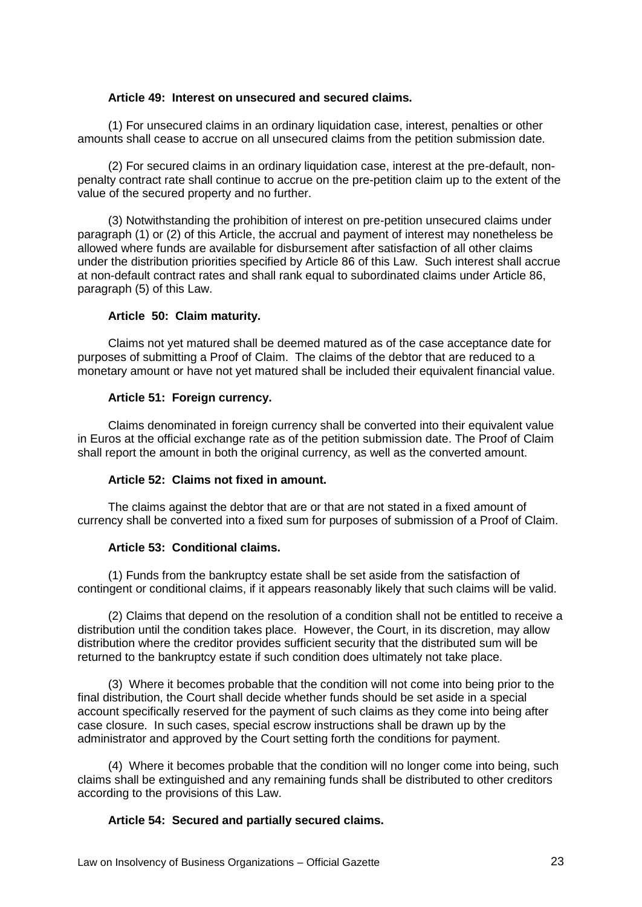### **Article 49: Interest on unsecured and secured claims.**

(1) For unsecured claims in an ordinary liquidation case, interest, penalties or other amounts shall cease to accrue on all unsecured claims from the petition submission date.

(2) For secured claims in an ordinary liquidation case, interest at the pre-default, nonpenalty contract rate shall continue to accrue on the pre-petition claim up to the extent of the value of the secured property and no further.

(3) Notwithstanding the prohibition of interest on pre-petition unsecured claims under paragraph (1) or (2) of this Article, the accrual and payment of interest may nonetheless be allowed where funds are available for disbursement after satisfaction of all other claims under the distribution priorities specified by Article 86 of this Law. Such interest shall accrue at non-default contract rates and shall rank equal to subordinated claims under Article 86, paragraph (5) of this Law.

# **Article 50: Claim maturity.**

Claims not yet matured shall be deemed matured as of the case acceptance date for purposes of submitting a Proof of Claim. The claims of the debtor that are reduced to a monetary amount or have not yet matured shall be included their equivalent financial value.

# **Article 51: Foreign currency.**

Claims denominated in foreign currency shall be converted into their equivalent value in Euros at the official exchange rate as of the petition submission date. The Proof of Claim shall report the amount in both the original currency, as well as the converted amount.

# **Article 52: Claims not fixed in amount.**

The claims against the debtor that are or that are not stated in a fixed amount of currency shall be converted into a fixed sum for purposes of submission of a Proof of Claim.

### **Article 53: Conditional claims.**

(1) Funds from the bankruptcy estate shall be set aside from the satisfaction of contingent or conditional claims, if it appears reasonably likely that such claims will be valid.

(2) Claims that depend on the resolution of a condition shall not be entitled to receive a distribution until the condition takes place. However, the Court, in its discretion, may allow distribution where the creditor provides sufficient security that the distributed sum will be returned to the bankruptcy estate if such condition does ultimately not take place.

(3) Where it becomes probable that the condition will not come into being prior to the final distribution, the Court shall decide whether funds should be set aside in a special account specifically reserved for the payment of such claims as they come into being after case closure. In such cases, special escrow instructions shall be drawn up by the administrator and approved by the Court setting forth the conditions for payment.

(4) Where it becomes probable that the condition will no longer come into being, such claims shall be extinguished and any remaining funds shall be distributed to other creditors according to the provisions of this Law.

### **Article 54: Secured and partially secured claims.**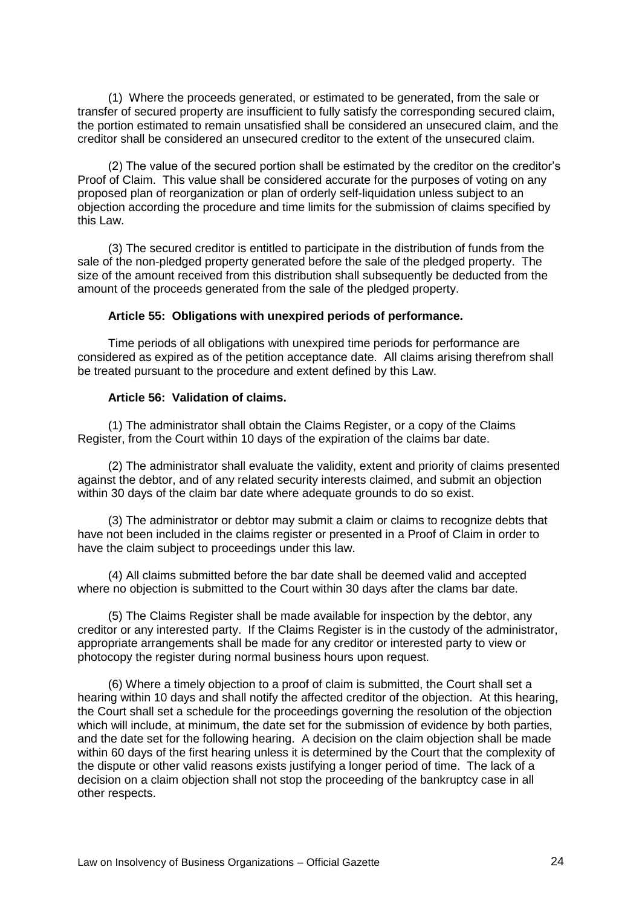(1) Where the proceeds generated, or estimated to be generated, from the sale or transfer of secured property are insufficient to fully satisfy the corresponding secured claim, the portion estimated to remain unsatisfied shall be considered an unsecured claim, and the creditor shall be considered an unsecured creditor to the extent of the unsecured claim.

(2) The value of the secured portion shall be estimated by the creditor on the creditor's Proof of Claim. This value shall be considered accurate for the purposes of voting on any proposed plan of reorganization or plan of orderly self-liquidation unless subject to an objection according the procedure and time limits for the submission of claims specified by this Law.

(3) The secured creditor is entitled to participate in the distribution of funds from the sale of the non-pledged property generated before the sale of the pledged property. The size of the amount received from this distribution shall subsequently be deducted from the amount of the proceeds generated from the sale of the pledged property.

### **Article 55: Obligations with unexpired periods of performance.**

Time periods of all obligations with unexpired time periods for performance are considered as expired as of the petition acceptance date. All claims arising therefrom shall be treated pursuant to the procedure and extent defined by this Law.

# **Article 56: Validation of claims.**

(1) The administrator shall obtain the Claims Register, or a copy of the Claims Register, from the Court within 10 days of the expiration of the claims bar date.

(2) The administrator shall evaluate the validity, extent and priority of claims presented against the debtor, and of any related security interests claimed, and submit an objection within 30 days of the claim bar date where adequate grounds to do so exist.

(3) The administrator or debtor may submit a claim or claims to recognize debts that have not been included in the claims register or presented in a Proof of Claim in order to have the claim subject to proceedings under this law.

(4) All claims submitted before the bar date shall be deemed valid and accepted where no objection is submitted to the Court within 30 days after the clams bar date.

(5) The Claims Register shall be made available for inspection by the debtor, any creditor or any interested party. If the Claims Register is in the custody of the administrator, appropriate arrangements shall be made for any creditor or interested party to view or photocopy the register during normal business hours upon request.

(6) Where a timely objection to a proof of claim is submitted, the Court shall set a hearing within 10 days and shall notify the affected creditor of the objection. At this hearing, the Court shall set a schedule for the proceedings governing the resolution of the objection which will include, at minimum, the date set for the submission of evidence by both parties, and the date set for the following hearing. A decision on the claim objection shall be made within 60 days of the first hearing unless it is determined by the Court that the complexity of the dispute or other valid reasons exists justifying a longer period of time. The lack of a decision on a claim objection shall not stop the proceeding of the bankruptcy case in all other respects.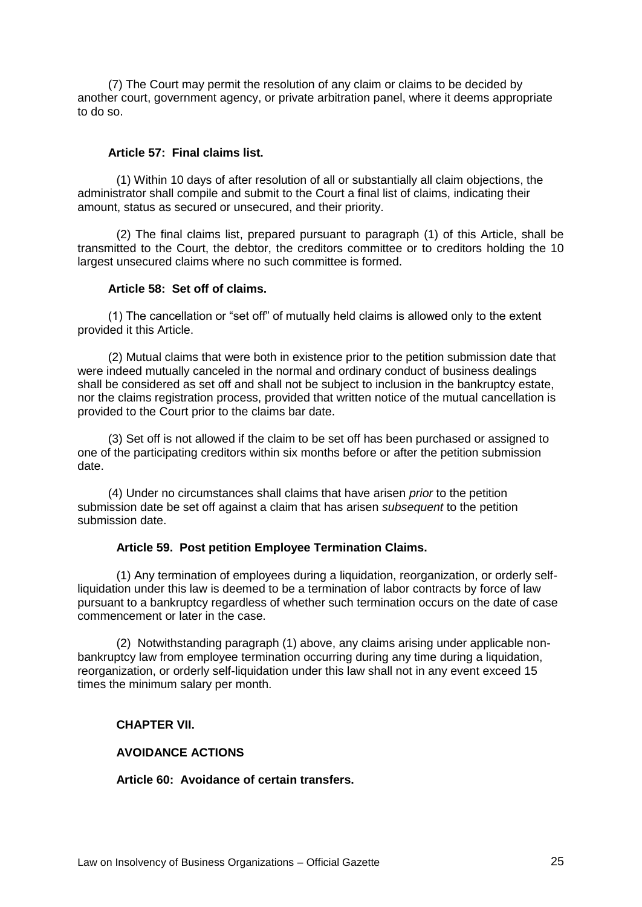(7) The Court may permit the resolution of any claim or claims to be decided by another court, government agency, or private arbitration panel, where it deems appropriate to do so.

### **Article 57: Final claims list.**

(1) Within 10 days of after resolution of all or substantially all claim objections, the administrator shall compile and submit to the Court a final list of claims, indicating their amount, status as secured or unsecured, and their priority.

(2) The final claims list, prepared pursuant to paragraph (1) of this Article, shall be transmitted to the Court, the debtor, the creditors committee or to creditors holding the 10 largest unsecured claims where no such committee is formed.

### **Article 58: Set off of claims.**

(1) The cancellation or "set off" of mutually held claims is allowed only to the extent provided it this Article.

(2) Mutual claims that were both in existence prior to the petition submission date that were indeed mutually canceled in the normal and ordinary conduct of business dealings shall be considered as set off and shall not be subject to inclusion in the bankruptcy estate, nor the claims registration process, provided that written notice of the mutual cancellation is provided to the Court prior to the claims bar date.

(3) Set off is not allowed if the claim to be set off has been purchased or assigned to one of the participating creditors within six months before or after the petition submission date.

(4) Under no circumstances shall claims that have arisen *prior* to the petition submission date be set off against a claim that has arisen *subsequent* to the petition submission date.

#### **Article 59. Post petition Employee Termination Claims.**

(1) Any termination of employees during a liquidation, reorganization, or orderly selfliquidation under this law is deemed to be a termination of labor contracts by force of law pursuant to a bankruptcy regardless of whether such termination occurs on the date of case commencement or later in the case.

(2) Notwithstanding paragraph (1) above, any claims arising under applicable nonbankruptcy law from employee termination occurring during any time during a liquidation, reorganization, or orderly self-liquidation under this law shall not in any event exceed 15 times the minimum salary per month.

# **CHAPTER VII.**

#### **AVOIDANCE ACTIONS**

**Article 60: Avoidance of certain transfers.**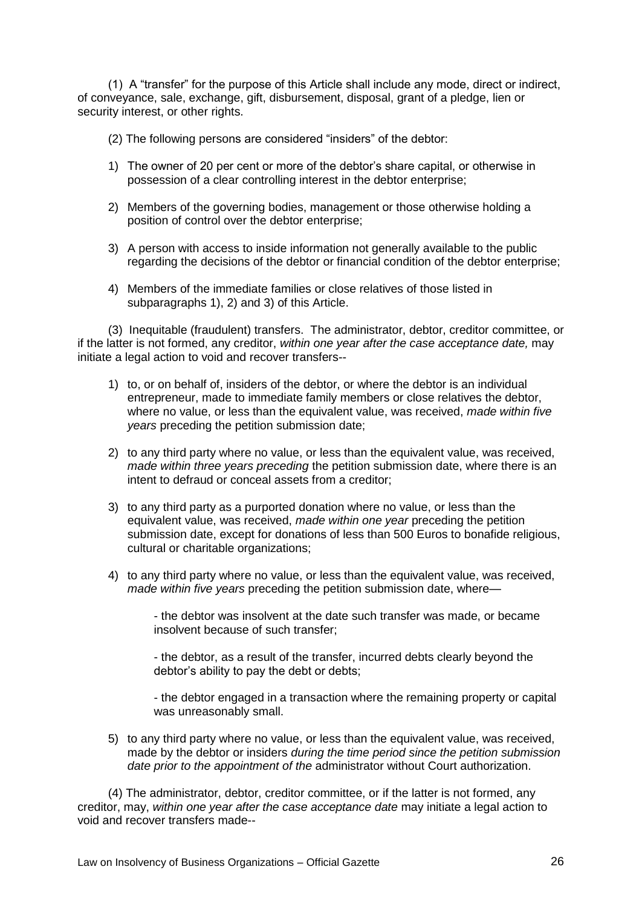(1) A "transfer" for the purpose of this Article shall include any mode, direct or indirect, of conveyance, sale, exchange, gift, disbursement, disposal, grant of a pledge, lien or security interest, or other rights.

(2) The following persons are considered "insiders" of the debtor:

- 1) The owner of 20 per cent or more of the debtor's share capital, or otherwise in possession of a clear controlling interest in the debtor enterprise;
- 2) Members of the governing bodies, management or those otherwise holding a position of control over the debtor enterprise;
- 3) A person with access to inside information not generally available to the public regarding the decisions of the debtor or financial condition of the debtor enterprise;
- 4) Members of the immediate families or close relatives of those listed in subparagraphs 1), 2) and 3) of this Article.

(3) Inequitable (fraudulent) transfers.The administrator, debtor, creditor committee, or if the latter is not formed, any creditor, *within one year after the case acceptance date,* may initiate a legal action to void and recover transfers--

- 1) to, or on behalf of, insiders of the debtor, or where the debtor is an individual entrepreneur, made to immediate family members or close relatives the debtor, where no value, or less than the equivalent value, was received, *made within five years* preceding the petition submission date;
- 2) to any third party where no value, or less than the equivalent value, was received, *made within three years preceding* the petition submission date, where there is an intent to defraud or conceal assets from a creditor;
- 3) to any third party as a purported donation where no value, or less than the equivalent value, was received, *made within one year* preceding the petition submission date, except for donations of less than 500 Euros to bonafide religious, cultural or charitable organizations;
- 4) to any third party where no value, or less than the equivalent value, was received, *made within five years* preceding the petition submission date, where—

- the debtor was insolvent at the date such transfer was made, or became insolvent because of such transfer;

- the debtor, as a result of the transfer, incurred debts clearly beyond the debtor's ability to pay the debt or debts;

- the debtor engaged in a transaction where the remaining property or capital was unreasonably small.

5) to any third party where no value, or less than the equivalent value, was received, made by the debtor or insiders *during the time period since the petition submission date prior to the appointment of the* administrator without Court authorization.

(4) The administrator, debtor, creditor committee, or if the latter is not formed, any creditor, may, *within one year after the case acceptance date* may initiate a legal action to void and recover transfers made--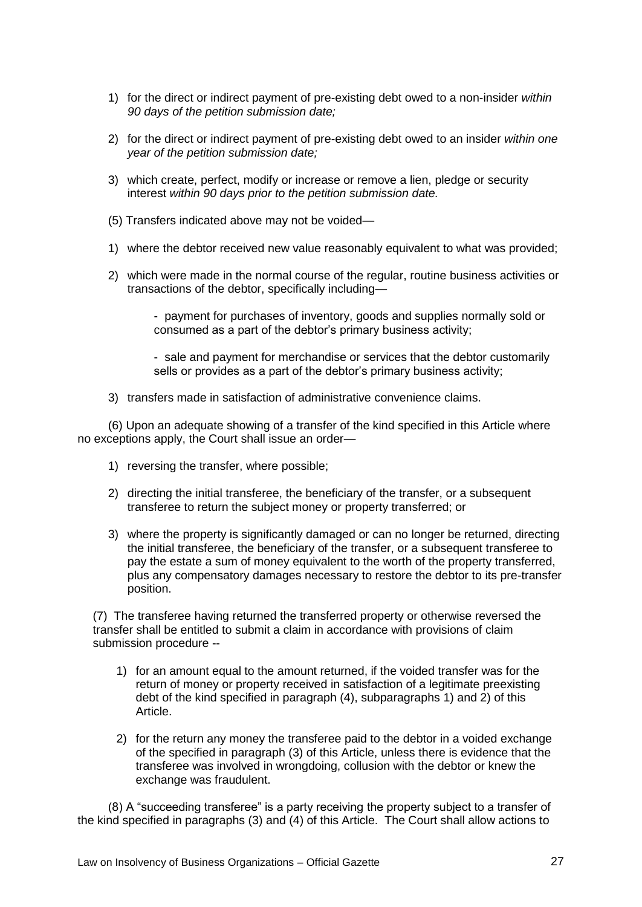- 1) for the direct or indirect payment of pre-existing debt owed to a non-insider *within 90 days of the petition submission date;*
- 2) for the direct or indirect payment of pre-existing debt owed to an insider *within one year of the petition submission date;*
- 3) which create, perfect, modify or increase or remove a lien, pledge or security interest *within 90 days prior to the petition submission date.*
- (5) Transfers indicated above may not be voided—
- 1) where the debtor received new value reasonably equivalent to what was provided;
- 2) which were made in the normal course of the regular, routine business activities or transactions of the debtor, specifically including—

- payment for purchases of inventory, goods and supplies normally sold or consumed as a part of the debtor's primary business activity;

- sale and payment for merchandise or services that the debtor customarily sells or provides as a part of the debtor's primary business activity;

3) transfers made in satisfaction of administrative convenience claims.

(6) Upon an adequate showing of a transfer of the kind specified in this Article where no exceptions apply, the Court shall issue an order—

- 1) reversing the transfer, where possible;
- 2) directing the initial transferee, the beneficiary of the transfer, or a subsequent transferee to return the subject money or property transferred; or
- 3) where the property is significantly damaged or can no longer be returned, directing the initial transferee, the beneficiary of the transfer, or a subsequent transferee to pay the estate a sum of money equivalent to the worth of the property transferred, plus any compensatory damages necessary to restore the debtor to its pre-transfer position.

(7) The transferee having returned the transferred property or otherwise reversed the transfer shall be entitled to submit a claim in accordance with provisions of claim submission procedure --

- 1) for an amount equal to the amount returned, if the voided transfer was for the return of money or property received in satisfaction of a legitimate preexisting debt of the kind specified in paragraph (4), subparagraphs 1) and 2) of this Article.
- 2) for the return any money the transferee paid to the debtor in a voided exchange of the specified in paragraph (3) of this Article, unless there is evidence that the transferee was involved in wrongdoing, collusion with the debtor or knew the exchange was fraudulent.

(8) A "succeeding transferee" is a party receiving the property subject to a transfer of the kind specified in paragraphs (3) and (4) of this Article. The Court shall allow actions to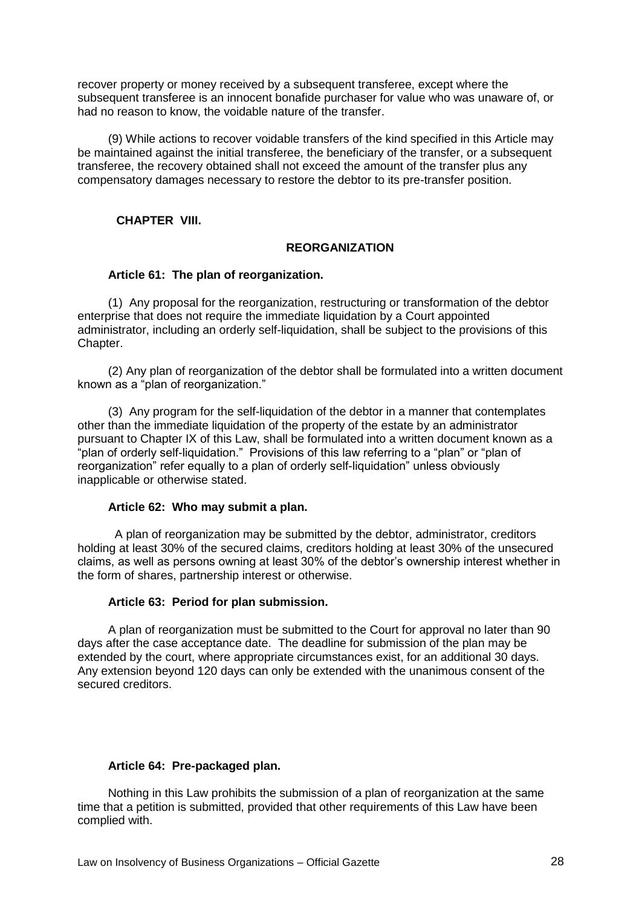recover property or money received by a subsequent transferee, except where the subsequent transferee is an innocent bonafide purchaser for value who was unaware of, or had no reason to know, the voidable nature of the transfer.

(9) While actions to recover voidable transfers of the kind specified in this Article may be maintained against the initial transferee, the beneficiary of the transfer, or a subsequent transferee, the recovery obtained shall not exceed the amount of the transfer plus any compensatory damages necessary to restore the debtor to its pre-transfer position.

**CHAPTER VIII.**

# **REORGANIZATION**

# **Article 61: The plan of reorganization.**

(1) Any proposal for the reorganization, restructuring or transformation of the debtor enterprise that does not require the immediate liquidation by a Court appointed administrator, including an orderly self-liquidation, shall be subject to the provisions of this Chapter.

(2) Any plan of reorganization of the debtor shall be formulated into a written document known as a "plan of reorganization."

(3) Any program for the self-liquidation of the debtor in a manner that contemplates other than the immediate liquidation of the property of the estate by an administrator pursuant to Chapter IX of this Law, shall be formulated into a written document known as a "plan of orderly self-liquidation." Provisions of this law referring to a "plan" or "plan of reorganization" refer equally to a plan of orderly self-liquidation" unless obviously inapplicable or otherwise stated.

### **Article 62: Who may submit a plan.**

 A plan of reorganization may be submitted by the debtor, administrator, creditors holding at least 30% of the secured claims, creditors holding at least 30% of the unsecured claims, as well as persons owning at least 30% of the debtor's ownership interest whether in the form of shares, partnership interest or otherwise.

# **Article 63: Period for plan submission.**

A plan of reorganization must be submitted to the Court for approval no later than 90 days after the case acceptance date. The deadline for submission of the plan may be extended by the court, where appropriate circumstances exist, for an additional 30 days. Any extension beyond 120 days can only be extended with the unanimous consent of the secured creditors.

### **Article 64: Pre-packaged plan.**

Nothing in this Law prohibits the submission of a plan of reorganization at the same time that a petition is submitted, provided that other requirements of this Law have been complied with.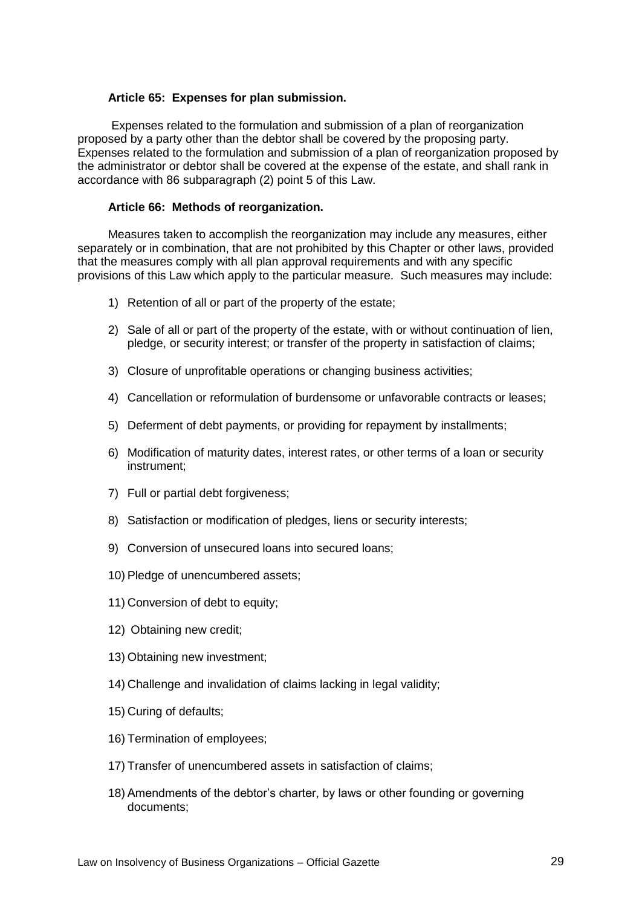### **Article 65: Expenses for plan submission.**

Expenses related to the formulation and submission of a plan of reorganization proposed by a party other than the debtor shall be covered by the proposing party. Expenses related to the formulation and submission of a plan of reorganization proposed by the administrator or debtor shall be covered at the expense of the estate, and shall rank in accordance with 86 subparagraph (2) point 5 of this Law.

# **Article 66: Methods of reorganization.**

Measures taken to accomplish the reorganization may include any measures, either separately or in combination, that are not prohibited by this Chapter or other laws, provided that the measures comply with all plan approval requirements and with any specific provisions of this Law which apply to the particular measure. Such measures may include:

- 1) Retention of all or part of the property of the estate;
- 2) Sale of all or part of the property of the estate, with or without continuation of lien, pledge, or security interest; or transfer of the property in satisfaction of claims;
- 3) Closure of unprofitable operations or changing business activities;
- 4) Cancellation or reformulation of burdensome or unfavorable contracts or leases;
- 5) Deferment of debt payments, or providing for repayment by installments;
- 6) Modification of maturity dates, interest rates, or other terms of a loan or security instrument;
- 7) Full or partial debt forgiveness;
- 8) Satisfaction or modification of pledges, liens or security interests;
- 9) Conversion of unsecured loans into secured loans;
- 10) Pledge of unencumbered assets;
- 11) Conversion of debt to equity;
- 12) Obtaining new credit;
- 13) Obtaining new investment;
- 14) Challenge and invalidation of claims lacking in legal validity;
- 15) Curing of defaults;
- 16) Termination of employees;
- 17) Transfer of unencumbered assets in satisfaction of claims;
- 18) Amendments of the debtor's charter, by laws or other founding or governing documents;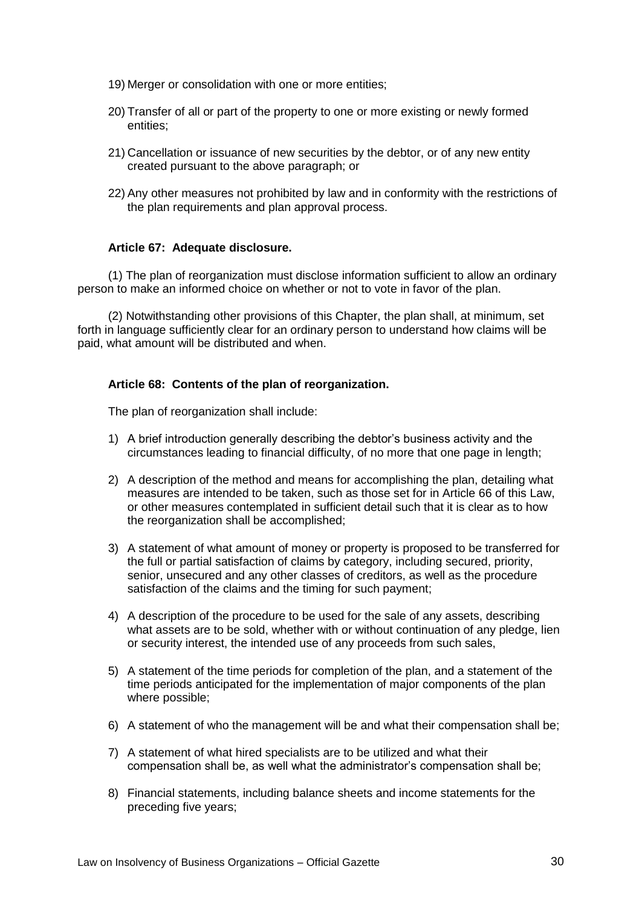- 19) Merger or consolidation with one or more entities;
- 20) Transfer of all or part of the property to one or more existing or newly formed entities;
- 21) Cancellation or issuance of new securities by the debtor, or of any new entity created pursuant to the above paragraph; or
- 22) Any other measures not prohibited by law and in conformity with the restrictions of the plan requirements and plan approval process.

### **Article 67: Adequate disclosure.**

(1) The plan of reorganization must disclose information sufficient to allow an ordinary person to make an informed choice on whether or not to vote in favor of the plan.

(2) Notwithstanding other provisions of this Chapter, the plan shall, at minimum, set forth in language sufficiently clear for an ordinary person to understand how claims will be paid, what amount will be distributed and when.

#### **Article 68: Contents of the plan of reorganization.**

The plan of reorganization shall include:

- 1) A brief introduction generally describing the debtor's business activity and the circumstances leading to financial difficulty, of no more that one page in length;
- 2) A description of the method and means for accomplishing the plan, detailing what measures are intended to be taken, such as those set for in Article 66 of this Law, or other measures contemplated in sufficient detail such that it is clear as to how the reorganization shall be accomplished;
- 3) A statement of what amount of money or property is proposed to be transferred for the full or partial satisfaction of claims by category, including secured, priority, senior, unsecured and any other classes of creditors, as well as the procedure satisfaction of the claims and the timing for such payment;
- 4) A description of the procedure to be used for the sale of any assets, describing what assets are to be sold, whether with or without continuation of any pledge, lien or security interest, the intended use of any proceeds from such sales,
- 5) A statement of the time periods for completion of the plan, and a statement of the time periods anticipated for the implementation of major components of the plan where possible;
- 6) A statement of who the management will be and what their compensation shall be;
- 7) A statement of what hired specialists are to be utilized and what their compensation shall be, as well what the administrator's compensation shall be;
- 8) Financial statements, including balance sheets and income statements for the preceding five years;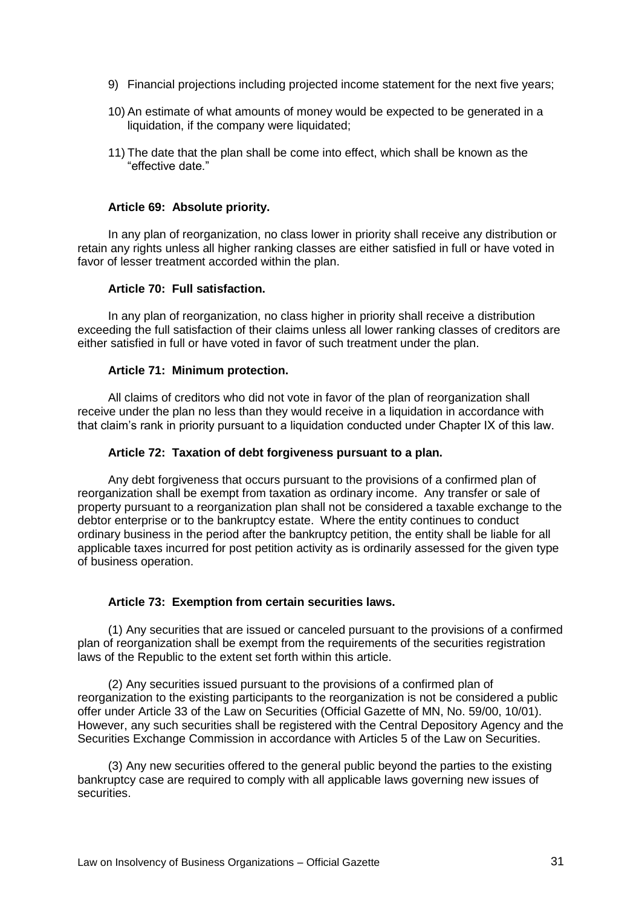- 9) Financial projections including projected income statement for the next five years;
- 10) An estimate of what amounts of money would be expected to be generated in a liquidation, if the company were liquidated;
- 11) The date that the plan shall be come into effect, which shall be known as the "effective date."

#### **Article 69: Absolute priority.**

In any plan of reorganization, no class lower in priority shall receive any distribution or retain any rights unless all higher ranking classes are either satisfied in full or have voted in favor of lesser treatment accorded within the plan.

### **Article 70: Full satisfaction.**

In any plan of reorganization, no class higher in priority shall receive a distribution exceeding the full satisfaction of their claims unless all lower ranking classes of creditors are either satisfied in full or have voted in favor of such treatment under the plan.

#### **Article 71: Minimum protection.**

All claims of creditors who did not vote in favor of the plan of reorganization shall receive under the plan no less than they would receive in a liquidation in accordance with that claim's rank in priority pursuant to a liquidation conducted under Chapter IX of this law.

#### **Article 72: Taxation of debt forgiveness pursuant to a plan.**

Any debt forgiveness that occurs pursuant to the provisions of a confirmed plan of reorganization shall be exempt from taxation as ordinary income. Any transfer or sale of property pursuant to a reorganization plan shall not be considered a taxable exchange to the debtor enterprise or to the bankruptcy estate. Where the entity continues to conduct ordinary business in the period after the bankruptcy petition, the entity shall be liable for all applicable taxes incurred for post petition activity as is ordinarily assessed for the given type of business operation.

### **Article 73: Exemption from certain securities laws.**

(1) Any securities that are issued or canceled pursuant to the provisions of a confirmed plan of reorganization shall be exempt from the requirements of the securities registration laws of the Republic to the extent set forth within this article.

(2) Any securities issued pursuant to the provisions of a confirmed plan of reorganization to the existing participants to the reorganization is not be considered a public offer under Article 33 of the Law on Securities (Official Gazette of MN, No. 59/00, 10/01). However, any such securities shall be registered with the Central Depository Agency and the Securities Exchange Commission in accordance with Articles 5 of the Law on Securities.

(3) Any new securities offered to the general public beyond the parties to the existing bankruptcy case are required to comply with all applicable laws governing new issues of securities.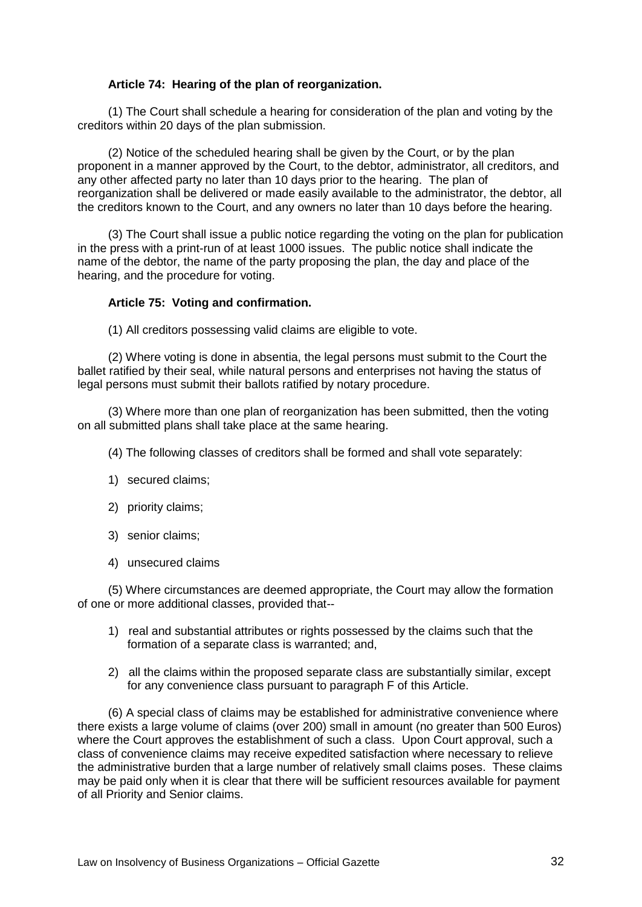# **Article 74: Hearing of the plan of reorganization.**

(1) The Court shall schedule a hearing for consideration of the plan and voting by the creditors within 20 days of the plan submission.

(2) Notice of the scheduled hearing shall be given by the Court, or by the plan proponent in a manner approved by the Court, to the debtor, administrator, all creditors, and any other affected party no later than 10 days prior to the hearing. The plan of reorganization shall be delivered or made easily available to the administrator, the debtor, all the creditors known to the Court, and any owners no later than 10 days before the hearing.

(3) The Court shall issue a public notice regarding the voting on the plan for publication in the press with a print-run of at least 1000 issues. The public notice shall indicate the name of the debtor, the name of the party proposing the plan, the day and place of the hearing, and the procedure for voting.

### **Article 75: Voting and confirmation.**

(1) All creditors possessing valid claims are eligible to vote.

(2) Where voting is done in absentia, the legal persons must submit to the Court the ballet ratified by their seal, while natural persons and enterprises not having the status of legal persons must submit their ballots ratified by notary procedure.

(3) Where more than one plan of reorganization has been submitted, then the voting on all submitted plans shall take place at the same hearing.

(4) The following classes of creditors shall be formed and shall vote separately:

- 1) secured claims;
- 2) priority claims;
- 3) senior claims;
- 4) unsecured claims

(5) Where circumstances are deemed appropriate, the Court may allow the formation of one or more additional classes, provided that--

- 1) real and substantial attributes or rights possessed by the claims such that the formation of a separate class is warranted; and,
- 2) all the claims within the proposed separate class are substantially similar, except for any convenience class pursuant to paragraph F of this Article.

(6) A special class of claims may be established for administrative convenience where there exists a large volume of claims (over 200) small in amount (no greater than 500 Euros) where the Court approves the establishment of such a class. Upon Court approval, such a class of convenience claims may receive expedited satisfaction where necessary to relieve the administrative burden that a large number of relatively small claims poses. These claims may be paid only when it is clear that there will be sufficient resources available for payment of all Priority and Senior claims.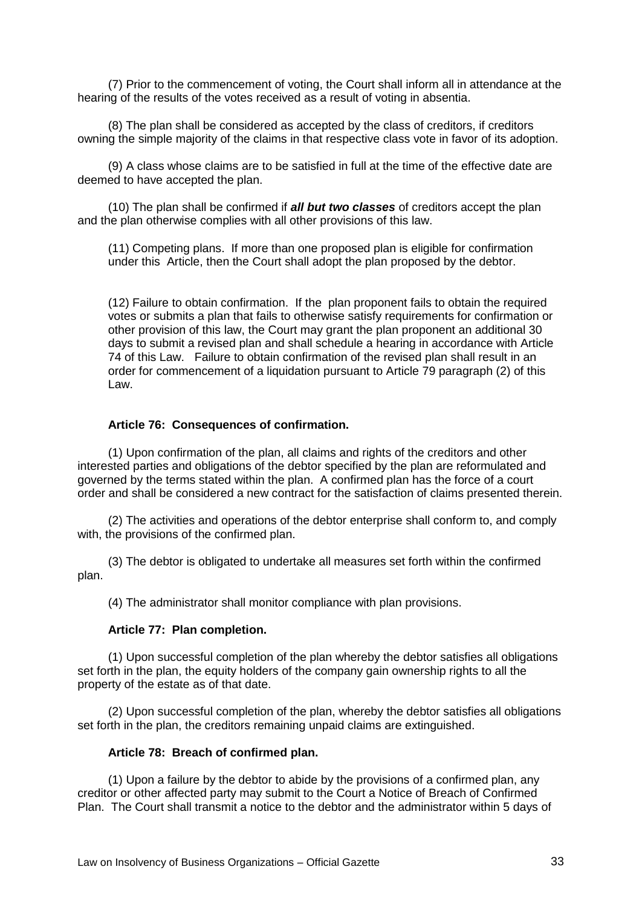(7) Prior to the commencement of voting, the Court shall inform all in attendance at the hearing of the results of the votes received as a result of voting in absentia.

(8) The plan shall be considered as accepted by the class of creditors, if creditors owning the simple majority of the claims in that respective class vote in favor of its adoption.

(9) A class whose claims are to be satisfied in full at the time of the effective date are deemed to have accepted the plan.

(10) The plan shall be confirmed if *all but two classes* of creditors accept the plan and the plan otherwise complies with all other provisions of this law.

(11) Competing plans. If more than one proposed plan is eligible for confirmation under this Article, then the Court shall adopt the plan proposed by the debtor.

(12) Failure to obtain confirmation.If the plan proponent fails to obtain the required votes or submits a plan that fails to otherwise satisfy requirements for confirmation or other provision of this law, the Court may grant the plan proponent an additional 30 days to submit a revised plan and shall schedule a hearing in accordance with Article 74 of this Law. Failure to obtain confirmation of the revised plan shall result in an order for commencement of a liquidation pursuant to Article 79 paragraph (2) of this Law.

### **Article 76: Consequences of confirmation.**

(1) Upon confirmation of the plan, all claims and rights of the creditors and other interested parties and obligations of the debtor specified by the plan are reformulated and governed by the terms stated within the plan. A confirmed plan has the force of a court order and shall be considered a new contract for the satisfaction of claims presented therein.

(2) The activities and operations of the debtor enterprise shall conform to, and comply with, the provisions of the confirmed plan.

(3) The debtor is obligated to undertake all measures set forth within the confirmed plan.

(4) The administrator shall monitor compliance with plan provisions.

#### **Article 77: Plan completion.**

(1) Upon successful completion of the plan whereby the debtor satisfies all obligations set forth in the plan, the equity holders of the company gain ownership rights to all the property of the estate as of that date.

(2) Upon successful completion of the plan, whereby the debtor satisfies all obligations set forth in the plan, the creditors remaining unpaid claims are extinguished.

#### **Article 78: Breach of confirmed plan.**

(1) Upon a failure by the debtor to abide by the provisions of a confirmed plan, any creditor or other affected party may submit to the Court a Notice of Breach of Confirmed Plan. The Court shall transmit a notice to the debtor and the administrator within 5 days of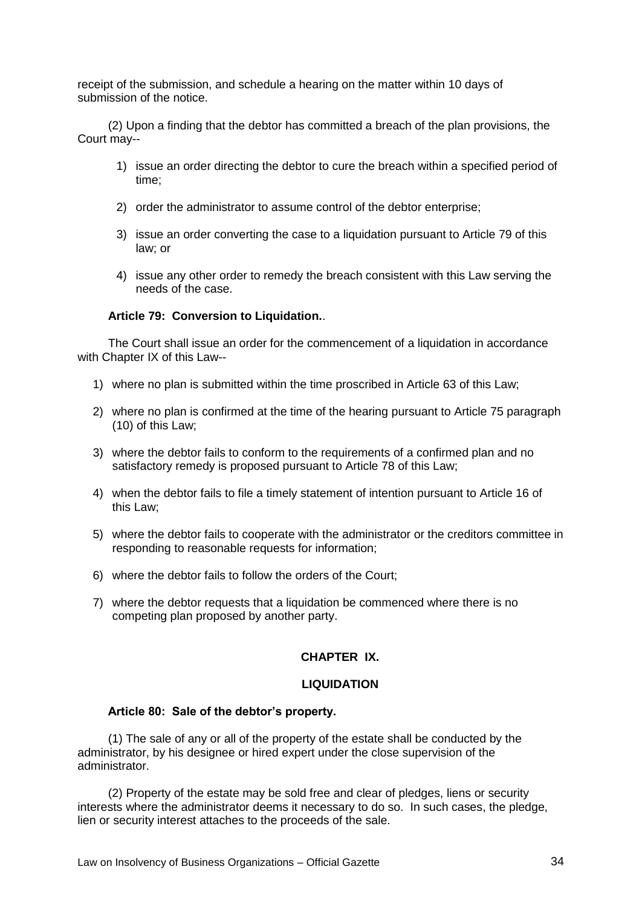receipt of the submission, and schedule a hearing on the matter within 10 days of submission of the notice.

(2) Upon a finding that the debtor has committed a breach of the plan provisions, the Court may--

- 1) issue an order directing the debtor to cure the breach within a specified period of time;
- 2) order the administrator to assume control of the debtor enterprise;
- 3) issue an order converting the case to a liquidation pursuant to Article 79 of this law; or
- 4) issue any other order to remedy the breach consistent with this Law serving the needs of the case.

### **Article 79: Conversion to Liquidation.**.

The Court shall issue an order for the commencement of a liquidation in accordance with Chapter IX of this Law--

- 1) where no plan is submitted within the time proscribed in Article 63 of this Law;
- 2) where no plan is confirmed at the time of the hearing pursuant to Article 75 paragraph (10) of this Law;
- 3) where the debtor fails to conform to the requirements of a confirmed plan and no satisfactory remedy is proposed pursuant to Article 78 of this Law;
- 4) when the debtor fails to file a timely statement of intention pursuant to Article 16 of this Law;
- 5) where the debtor fails to cooperate with the administrator or the creditors committee in responding to reasonable requests for information;
- 6) where the debtor fails to follow the orders of the Court;
- 7) where the debtor requests that a liquidation be commenced where there is no competing plan proposed by another party.

# **CHAPTER IX.**

#### **LIQUIDATION**

#### **Article 80: Sale of the debtor's property.**

(1) The sale of any or all of the property of the estate shall be conducted by the administrator, by his designee or hired expert under the close supervision of the administrator.

(2) Property of the estate may be sold free and clear of pledges, liens or security interests where the administrator deems it necessary to do so. In such cases, the pledge, lien or security interest attaches to the proceeds of the sale.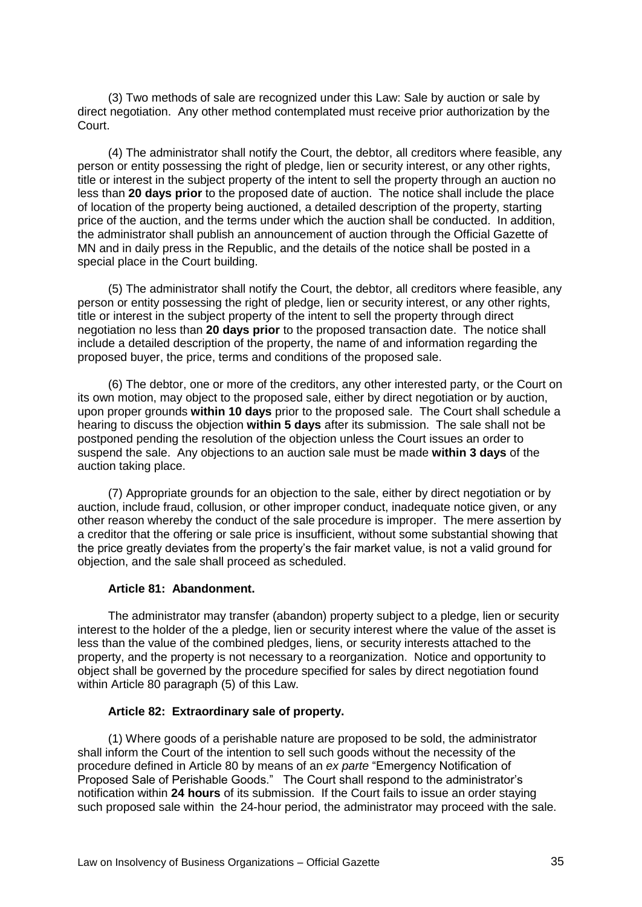(3) Two methods of sale are recognized under this Law: Sale by auction or sale by direct negotiation. Any other method contemplated must receive prior authorization by the Court.

(4) The administrator shall notify the Court, the debtor, all creditors where feasible, any person or entity possessing the right of pledge, lien or security interest, or any other rights, title or interest in the subject property of the intent to sell the property through an auction no less than **20 days prior** to the proposed date of auction. The notice shall include the place of location of the property being auctioned, a detailed description of the property, starting price of the auction, and the terms under which the auction shall be conducted. In addition, the administrator shall publish an announcement of auction through the Official Gazette of MN and in daily press in the Republic, and the details of the notice shall be posted in a special place in the Court building.

(5) The administrator shall notify the Court, the debtor, all creditors where feasible, any person or entity possessing the right of pledge, lien or security interest, or any other rights, title or interest in the subject property of the intent to sell the property through direct negotiation no less than **20 days prior** to the proposed transaction date. The notice shall include a detailed description of the property, the name of and information regarding the proposed buyer, the price, terms and conditions of the proposed sale.

(6) The debtor, one or more of the creditors, any other interested party, or the Court on its own motion, may object to the proposed sale, either by direct negotiation or by auction, upon proper grounds **within 10 days** prior to the proposed sale. The Court shall schedule a hearing to discuss the objection **within 5 days** after its submission. The sale shall not be postponed pending the resolution of the objection unless the Court issues an order to suspend the sale. Any objections to an auction sale must be made **within 3 days** of the auction taking place.

(7) Appropriate grounds for an objection to the sale, either by direct negotiation or by auction, include fraud, collusion, or other improper conduct, inadequate notice given, or any other reason whereby the conduct of the sale procedure is improper. The mere assertion by a creditor that the offering or sale price is insufficient, without some substantial showing that the price greatly deviates from the property's the fair market value, is not a valid ground for objection, and the sale shall proceed as scheduled.

## **Article 81: Abandonment.**

The administrator may transfer (abandon) property subject to a pledge, lien or security interest to the holder of the a pledge, lien or security interest where the value of the asset is less than the value of the combined pledges, liens, or security interests attached to the property, and the property is not necessary to a reorganization. Notice and opportunity to object shall be governed by the procedure specified for sales by direct negotiation found within Article 80 paragraph (5) of this Law.

#### **Article 82: Extraordinary sale of property.**

(1) Where goods of a perishable nature are proposed to be sold, the administrator shall inform the Court of the intention to sell such goods without the necessity of the procedure defined in Article 80 by means of an *ex parte* "Emergency Notification of Proposed Sale of Perishable Goods." The Court shall respond to the administrator's notification within **24 hours** of its submission. If the Court fails to issue an order staying such proposed sale within the 24-hour period, the administrator may proceed with the sale.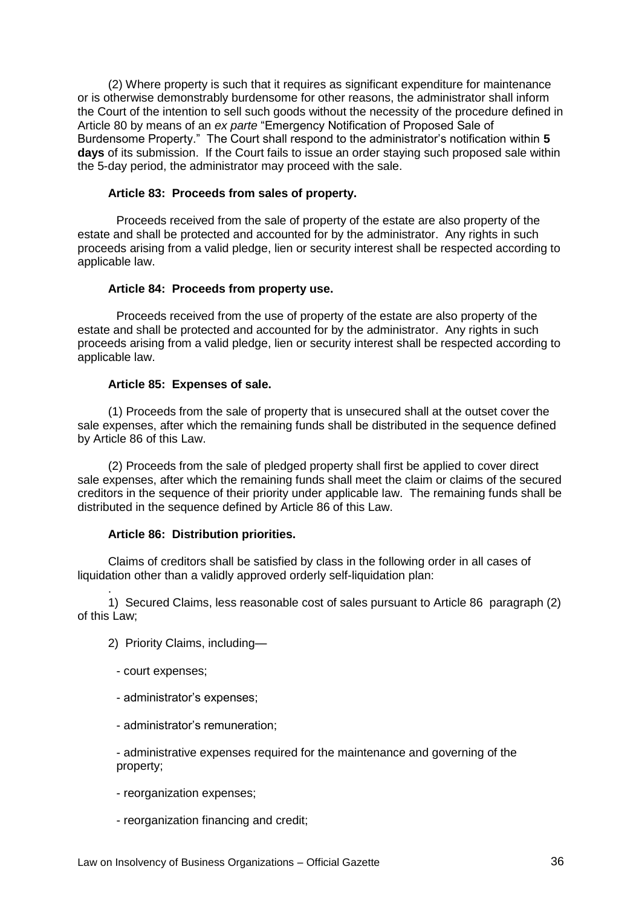(2) Where property is such that it requires as significant expenditure for maintenance or is otherwise demonstrably burdensome for other reasons, the administrator shall inform the Court of the intention to sell such goods without the necessity of the procedure defined in Article 80 by means of an *ex parte* "Emergency Notification of Proposed Sale of Burdensome Property.‖ The Court shall respond to the administrator's notification within **5 days** of its submission. If the Court fails to issue an order staying such proposed sale within the 5-day period, the administrator may proceed with the sale.

### **Article 83: Proceeds from sales of property.**

Proceeds received from the sale of property of the estate are also property of the estate and shall be protected and accounted for by the administrator. Any rights in such proceeds arising from a valid pledge, lien or security interest shall be respected according to applicable law.

#### **Article 84: Proceeds from property use.**

Proceeds received from the use of property of the estate are also property of the estate and shall be protected and accounted for by the administrator. Any rights in such proceeds arising from a valid pledge, lien or security interest shall be respected according to applicable law.

#### **Article 85: Expenses of sale.**

(1) Proceeds from the sale of property that is unsecured shall at the outset cover the sale expenses, after which the remaining funds shall be distributed in the sequence defined by Article 86 of this Law.

(2) Proceeds from the sale of pledged property shall first be applied to cover direct sale expenses, after which the remaining funds shall meet the claim or claims of the secured creditors in the sequence of their priority under applicable law. The remaining funds shall be distributed in the sequence defined by Article 86 of this Law.

#### **Article 86: Distribution priorities.**

Claims of creditors shall be satisfied by class in the following order in all cases of liquidation other than a validly approved orderly self-liquidation plan:

1)Secured Claims, less reasonable cost of sales pursuant to Article 86 paragraph (2) of this Law;

- 2)Priority Claims, including—
	- court expenses;

.

- administrator's expenses;
- administrator's remuneration;

- administrative expenses required for the maintenance and governing of the property;

- reorganization expenses;
- reorganization financing and credit;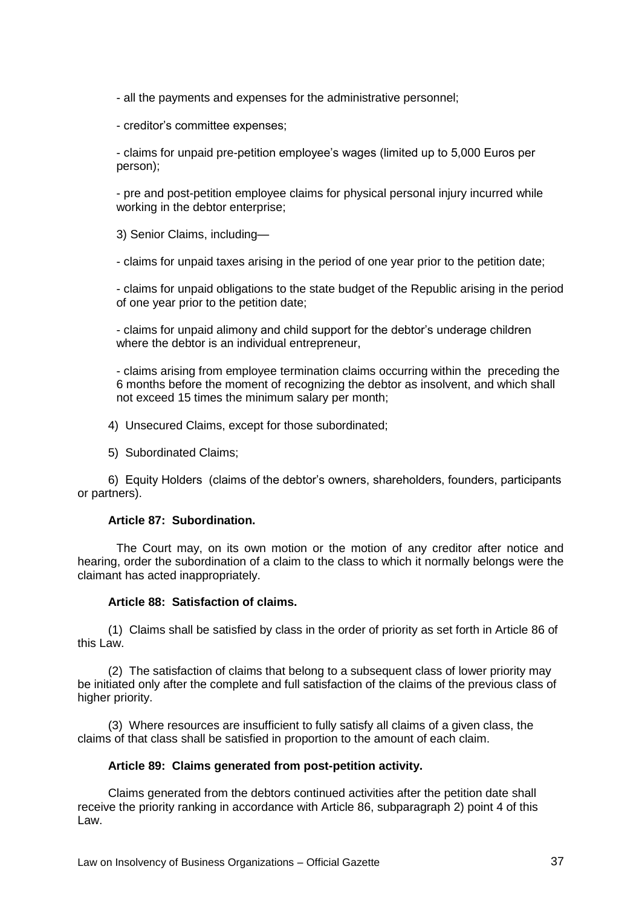- all the payments and expenses for the administrative personnel;

- creditor's committee expenses;

- claims for unpaid pre-petition employee's wages (limited up to 5,000 Euros per person);

- pre and post-petition employee claims for physical personal injury incurred while working in the debtor enterprise;

3) Senior Claims, including—

- claims for unpaid taxes arising in the period of one year prior to the petition date;

- claims for unpaid obligations to the state budget of the Republic arising in the period of one year prior to the petition date;

- claims for unpaid alimony and child support for the debtor's underage children where the debtor is an individual entrepreneur,

- claims arising from employee termination claims occurring within the preceding the 6 months before the moment of recognizing the debtor as insolvent, and which shall not exceed 15 times the minimum salary per month;

4)Unsecured Claims, except for those subordinated;

5)Subordinated Claims;

6)Equity Holders (claims of the debtor's owners, shareholders, founders, participants or partners).

### **Article 87: Subordination.**

The Court may, on its own motion or the motion of any creditor after notice and hearing, order the subordination of a claim to the class to which it normally belongs were the claimant has acted inappropriately.

### **Article 88: Satisfaction of claims.**

(1) Claims shall be satisfied by class in the order of priority as set forth in Article 86 of this Law.

(2) The satisfaction of claims that belong to a subsequent class of lower priority may be initiated only after the complete and full satisfaction of the claims of the previous class of higher priority.

(3) Where resources are insufficient to fully satisfy all claims of a given class, the claims of that class shall be satisfied in proportion to the amount of each claim.

### **Article 89: Claims generated from post-petition activity.**

Claims generated from the debtors continued activities after the petition date shall receive the priority ranking in accordance with Article 86, subparagraph 2) point 4 of this Law.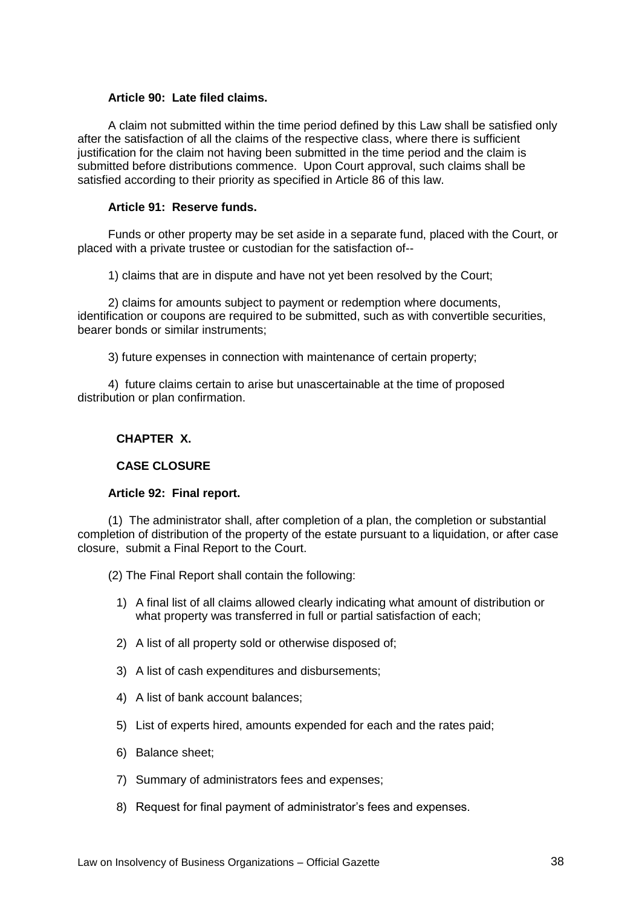### **Article 90: Late filed claims.**

A claim not submitted within the time period defined by this Law shall be satisfied only after the satisfaction of all the claims of the respective class, where there is sufficient justification for the claim not having been submitted in the time period and the claim is submitted before distributions commence. Upon Court approval, such claims shall be satisfied according to their priority as specified in Article 86 of this law.

# **Article 91: Reserve funds.**

Funds or other property may be set aside in a separate fund, placed with the Court, or placed with a private trustee or custodian for the satisfaction of--

1) claims that are in dispute and have not yet been resolved by the Court;

2) claims for amounts subject to payment or redemption where documents, identification or coupons are required to be submitted, such as with convertible securities, bearer bonds or similar instruments;

3) future expenses in connection with maintenance of certain property;

4) future claims certain to arise but unascertainable at the time of proposed distribution or plan confirmation.

# **CHAPTER X.**

# **CASE CLOSURE**

### **Article 92: Final report.**

(1) The administrator shall, after completion of a plan, the completion or substantial completion of distribution of the property of the estate pursuant to a liquidation, or after case closure, submit a Final Report to the Court.

(2) The Final Report shall contain the following:

- 1) A final list of all claims allowed clearly indicating what amount of distribution or what property was transferred in full or partial satisfaction of each;
- 2) A list of all property sold or otherwise disposed of;
- 3) A list of cash expenditures and disbursements;
- 4) A list of bank account balances;
- 5) List of experts hired, amounts expended for each and the rates paid;
- 6) Balance sheet;
- 7) Summary of administrators fees and expenses;
- 8) Request for final payment of administrator's fees and expenses.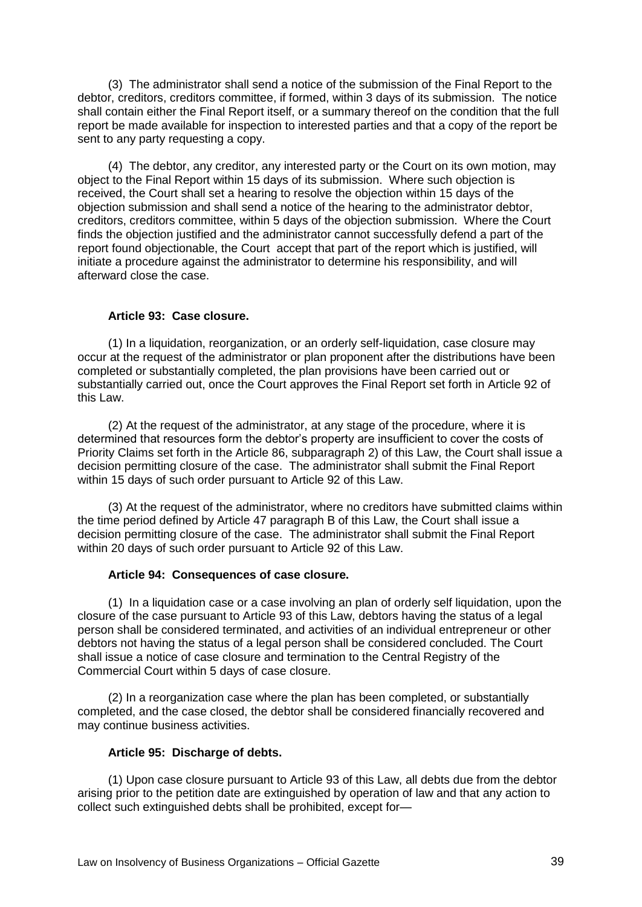(3) The administrator shall send a notice of the submission of the Final Report to the debtor, creditors, creditors committee, if formed, within 3 days of its submission. The notice shall contain either the Final Report itself, or a summary thereof on the condition that the full report be made available for inspection to interested parties and that a copy of the report be sent to any party requesting a copy.

(4) The debtor, any creditor, any interested party or the Court on its own motion, may object to the Final Report within 15 days of its submission. Where such objection is received, the Court shall set a hearing to resolve the objection within 15 days of the objection submission and shall send a notice of the hearing to the administrator debtor, creditors, creditors committee, within 5 days of the objection submission. Where the Court finds the objection justified and the administrator cannot successfully defend a part of the report found objectionable, the Court accept that part of the report which is justified, will initiate a procedure against the administrator to determine his responsibility, and will afterward close the case.

# **Article 93: Case closure.**

(1) In a liquidation, reorganization, or an orderly self-liquidation, case closure may occur at the request of the administrator or plan proponent after the distributions have been completed or substantially completed, the plan provisions have been carried out or substantially carried out, once the Court approves the Final Report set forth in Article 92 of this Law.

(2) At the request of the administrator, at any stage of the procedure, where it is determined that resources form the debtor's property are insufficient to cover the costs of Priority Claims set forth in the Article 86, subparagraph 2) of this Law, the Court shall issue a decision permitting closure of the case. The administrator shall submit the Final Report within 15 days of such order pursuant to Article 92 of this Law.

(3) At the request of the administrator, where no creditors have submitted claims within the time period defined by Article 47 paragraph B of this Law, the Court shall issue a decision permitting closure of the case. The administrator shall submit the Final Report within 20 days of such order pursuant to Article 92 of this Law.

### **Article 94: Consequences of case closure.**

(1) In a liquidation case or a case involving an plan of orderly self liquidation, upon the closure of the case pursuant to Article 93 of this Law, debtors having the status of a legal person shall be considered terminated, and activities of an individual entrepreneur or other debtors not having the status of a legal person shall be considered concluded. The Court shall issue a notice of case closure and termination to the Central Registry of the Commercial Court within 5 days of case closure.

(2) In a reorganization case where the plan has been completed, or substantially completed, and the case closed, the debtor shall be considered financially recovered and may continue business activities.

### **Article 95: Discharge of debts.**

(1) Upon case closure pursuant to Article 93 of this Law, all debts due from the debtor arising prior to the petition date are extinguished by operation of law and that any action to collect such extinguished debts shall be prohibited, except for—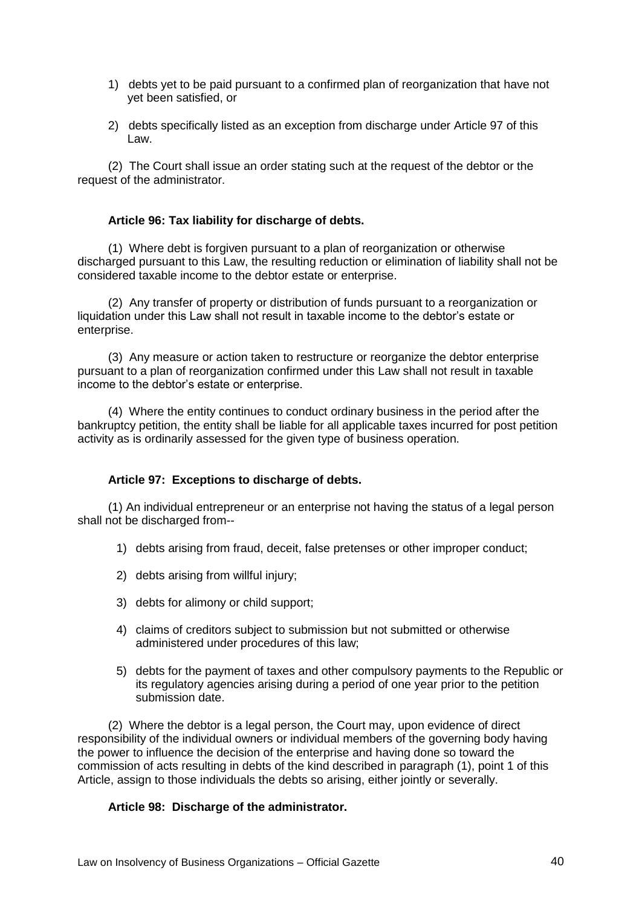- 1) debts yet to be paid pursuant to a confirmed plan of reorganization that have not yet been satisfied, or
- 2) debts specifically listed as an exception from discharge under Article 97 of this Law.

(2) The Court shall issue an order stating such at the request of the debtor or the request of the administrator.

### **Article 96: Tax liability for discharge of debts.**

(1) Where debt is forgiven pursuant to a plan of reorganization or otherwise discharged pursuant to this Law, the resulting reduction or elimination of liability shall not be considered taxable income to the debtor estate or enterprise.

(2) Any transfer of property or distribution of funds pursuant to a reorganization or liquidation under this Law shall not result in taxable income to the debtor's estate or enterprise.

(3) Any measure or action taken to restructure or reorganize the debtor enterprise pursuant to a plan of reorganization confirmed under this Law shall not result in taxable income to the debtor's estate or enterprise.

(4) Where the entity continues to conduct ordinary business in the period after the bankruptcy petition, the entity shall be liable for all applicable taxes incurred for post petition activity as is ordinarily assessed for the given type of business operation.

### **Article 97: Exceptions to discharge of debts.**

(1) An individual entrepreneur or an enterprise not having the status of a legal person shall not be discharged from--

- 1) debts arising from fraud, deceit, false pretenses or other improper conduct;
- 2) debts arising from willful injury;
- 3) debts for alimony or child support;
- 4) claims of creditors subject to submission but not submitted or otherwise administered under procedures of this law;
- 5) debts for the payment of taxes and other compulsory payments to the Republic or its regulatory agencies arising during a period of one year prior to the petition submission date.

(2) Where the debtor is a legal person, the Court may, upon evidence of direct responsibility of the individual owners or individual members of the governing body having the power to influence the decision of the enterprise and having done so toward the commission of acts resulting in debts of the kind described in paragraph (1), point 1 of this Article, assign to those individuals the debts so arising, either jointly or severally.

### **Article 98: Discharge of the administrator.**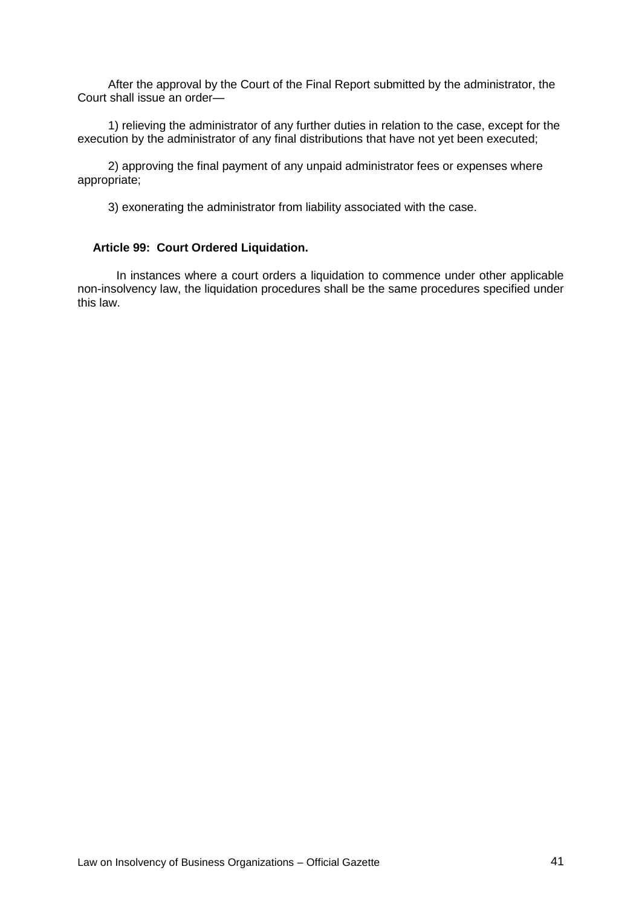After the approval by the Court of the Final Report submitted by the administrator, the Court shall issue an order—

1) relieving the administrator of any further duties in relation to the case, except for the execution by the administrator of any final distributions that have not yet been executed;

2) approving the final payment of any unpaid administrator fees or expenses where appropriate;

3) exonerating the administrator from liability associated with the case.

#### **Article 99: Court Ordered Liquidation.**

In instances where a court orders a liquidation to commence under other applicable non-insolvency law, the liquidation procedures shall be the same procedures specified under this law.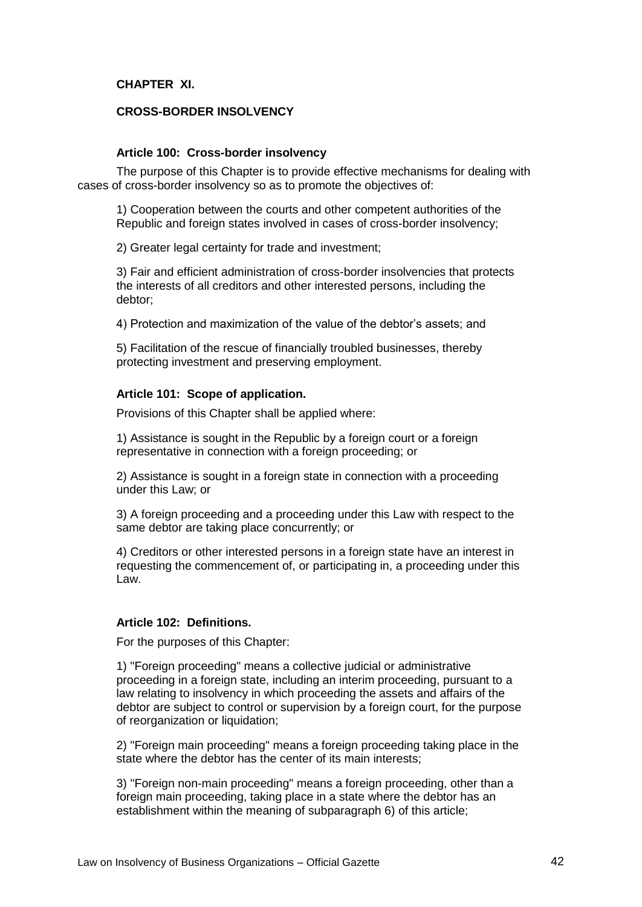# **CHAPTER XI.**

# **CROSS-BORDER INSOLVENCY**

### **Article 100: Cross-border insolvency**

The purpose of this Chapter is to provide effective mechanisms for dealing with cases of cross-border insolvency so as to promote the objectives of:

1) Cooperation between the courts and other competent authorities of the Republic and foreign states involved in cases of cross-border insolvency;

2) Greater legal certainty for trade and investment;

3) Fair and efficient administration of cross-border insolvencies that protects the interests of all creditors and other interested persons, including the debtor;

4) Protection and maximization of the value of the debtor's assets; and

5) Facilitation of the rescue of financially troubled businesses, thereby protecting investment and preserving employment.

### **Article 101: Scope of application.**

Provisions of this Chapter shall be applied where:

1) Assistance is sought in the Republic by a foreign court or a foreign representative in connection with a foreign proceeding; or

2) Assistance is sought in a foreign state in connection with a proceeding under this Law; or

3) A foreign proceeding and a proceeding under this Law with respect to the same debtor are taking place concurrently; or

4) Creditors or other interested persons in a foreign state have an interest in requesting the commencement of, or participating in, a proceeding under this Law.

# **Article 102: Definitions.**

For the purposes of this Chapter:

1) "Foreign proceeding" means a collective judicial or administrative proceeding in a foreign state, including an interim proceeding, pursuant to a law relating to insolvency in which proceeding the assets and affairs of the debtor are subject to control or supervision by a foreign court, for the purpose of reorganization or liquidation;

2) "Foreign main proceeding" means a foreign proceeding taking place in the state where the debtor has the center of its main interests;

3) "Foreign non-main proceeding" means a foreign proceeding, other than a foreign main proceeding, taking place in a state where the debtor has an establishment within the meaning of subparagraph 6) of this article;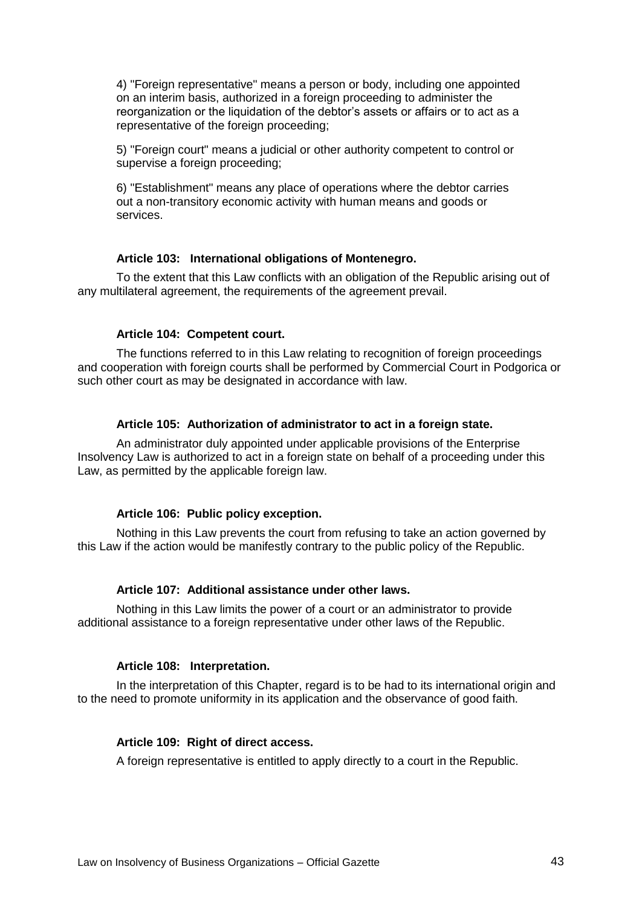4) "Foreign representative" means a person or body, including one appointed on an interim basis, authorized in a foreign proceeding to administer the reorganization or the liquidation of the debtor's assets or affairs or to act as a representative of the foreign proceeding;

5) "Foreign court" means a judicial or other authority competent to control or supervise a foreign proceeding:

6) "Establishment" means any place of operations where the debtor carries out a non-transitory economic activity with human means and goods or services.

### **Article 103: International obligations of Montenegro.**

To the extent that this Law conflicts with an obligation of the Republic arising out of any multilateral agreement, the requirements of the agreement prevail.

### **Article 104: Competent court.**

The functions referred to in this Law relating to recognition of foreign proceedings and cooperation with foreign courts shall be performed by Commercial Court in Podgorica or such other court as may be designated in accordance with law.

#### **Article 105: Authorization of administrator to act in a foreign state.**

An administrator duly appointed under applicable provisions of the Enterprise Insolvency Law is authorized to act in a foreign state on behalf of a proceeding under this Law, as permitted by the applicable foreign law.

### **Article 106: Public policy exception.**

Nothing in this Law prevents the court from refusing to take an action governed by this Law if the action would be manifestly contrary to the public policy of the Republic.

### **Article 107: Additional assistance under other laws.**

Nothing in this Law limits the power of a court or an administrator to provide additional assistance to a foreign representative under other laws of the Republic.

### **Article 108: Interpretation.**

In the interpretation of this Chapter, regard is to be had to its international origin and to the need to promote uniformity in its application and the observance of good faith.

### **Article 109: Right of direct access.**

A foreign representative is entitled to apply directly to a court in the Republic.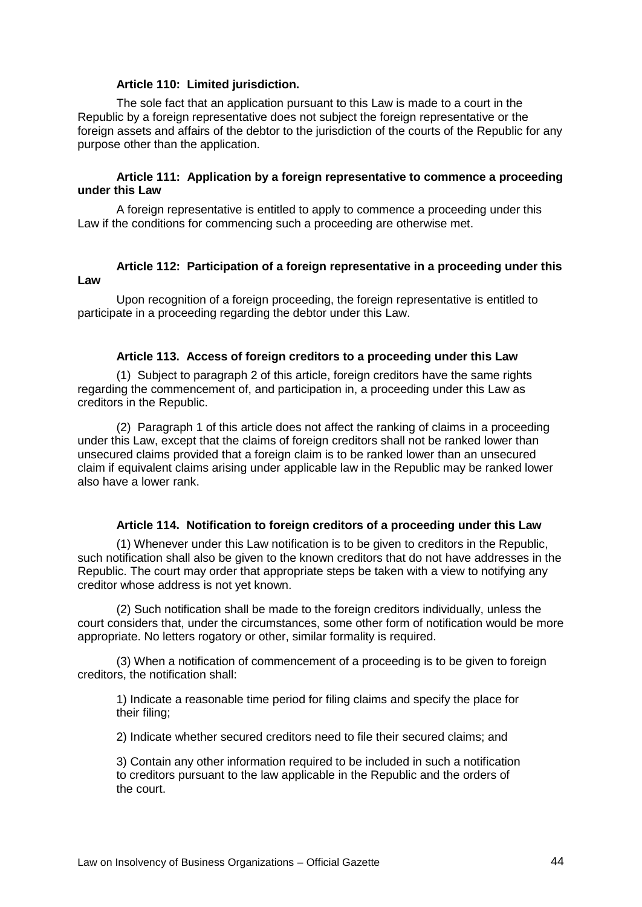### **Article 110: Limited jurisdiction.**

The sole fact that an application pursuant to this Law is made to a court in the Republic by a foreign representative does not subject the foreign representative or the foreign assets and affairs of the debtor to the jurisdiction of the courts of the Republic for any purpose other than the application.

### **Article 111: Application by a foreign representative to commence a proceeding under this Law**

A foreign representative is entitled to apply to commence a proceeding under this Law if the conditions for commencing such a proceeding are otherwise met.

# **Article 112: Participation of a foreign representative in a proceeding under this Law**

Upon recognition of a foreign proceeding, the foreign representative is entitled to participate in a proceeding regarding the debtor under this Law.

#### **Article 113. Access of foreign creditors to a proceeding under this Law**

(1) Subject to paragraph 2 of this article, foreign creditors have the same rights regarding the commencement of, and participation in, a proceeding under this Law as creditors in the Republic.

(2) Paragraph 1 of this article does not affect the ranking of claims in a proceeding under this Law, except that the claims of foreign creditors shall not be ranked lower than unsecured claims provided that a foreign claim is to be ranked lower than an unsecured claim if equivalent claims arising under applicable law in the Republic may be ranked lower also have a lower rank.

# **Article 114. Notification to foreign creditors of a proceeding under this Law**

(1) Whenever under this Law notification is to be given to creditors in the Republic, such notification shall also be given to the known creditors that do not have addresses in the Republic. The court may order that appropriate steps be taken with a view to notifying any creditor whose address is not yet known.

(2) Such notification shall be made to the foreign creditors individually, unless the court considers that, under the circumstances, some other form of notification would be more appropriate. No letters rogatory or other, similar formality is required.

(3) When a notification of commencement of a proceeding is to be given to foreign creditors, the notification shall:

1) Indicate a reasonable time period for filing claims and specify the place for their filing;

2) Indicate whether secured creditors need to file their secured claims; and

3) Contain any other information required to be included in such a notification to creditors pursuant to the law applicable in the Republic and the orders of the court.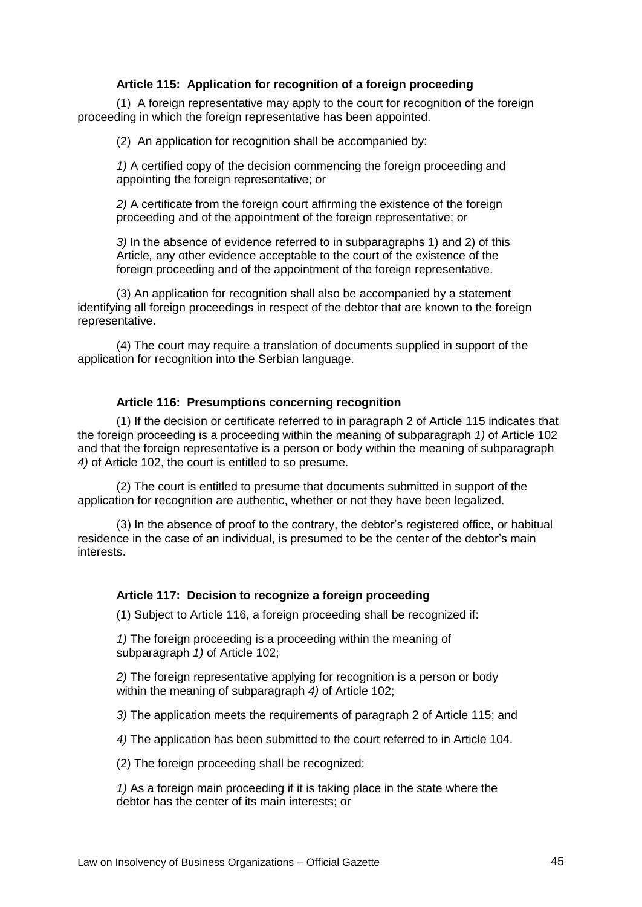# **Article 115: Application for recognition of a foreign proceeding**

(1) A foreign representative may apply to the court for recognition of the foreign proceeding in which the foreign representative has been appointed.

(2) An application for recognition shall be accompanied by:

*1)* A certified copy of the decision commencing the foreign proceeding and appointing the foreign representative; or

*2)* A certificate from the foreign court affirming the existence of the foreign proceeding and of the appointment of the foreign representative; or

*3)* In the absence of evidence referred to in subparagraphs 1) and 2) of this Article*,* any other evidence acceptable to the court of the existence of the foreign proceeding and of the appointment of the foreign representative.

(3) An application for recognition shall also be accompanied by a statement identifying all foreign proceedings in respect of the debtor that are known to the foreign representative.

(4) The court may require a translation of documents supplied in support of the application for recognition into the Serbian language.

### **Article 116: Presumptions concerning recognition**

(1) If the decision or certificate referred to in paragraph 2 of Article 115 indicates that the foreign proceeding is a proceeding within the meaning of subparagraph *1)* of Article 102 and that the foreign representative is a person or body within the meaning of subparagraph *4)* of Article 102, the court is entitled to so presume.

(2) The court is entitled to presume that documents submitted in support of the application for recognition are authentic, whether or not they have been legalized.

(3) In the absence of proof to the contrary, the debtor's registered office, or habitual residence in the case of an individual, is presumed to be the center of the debtor's main interests.

### **Article 117: Decision to recognize a foreign proceeding**

(1) Subject to Article 116, a foreign proceeding shall be recognized if:

*1)* The foreign proceeding is a proceeding within the meaning of subparagraph *1)* of Article 102;

*2)* The foreign representative applying for recognition is a person or body within the meaning of subparagraph *4)* of Article 102;

*3)* The application meets the requirements of paragraph 2 of Article 115; and

*4)* The application has been submitted to the court referred to in Article 104.

(2) The foreign proceeding shall be recognized:

*1)* As a foreign main proceeding if it is taking place in the state where the debtor has the center of its main interests; or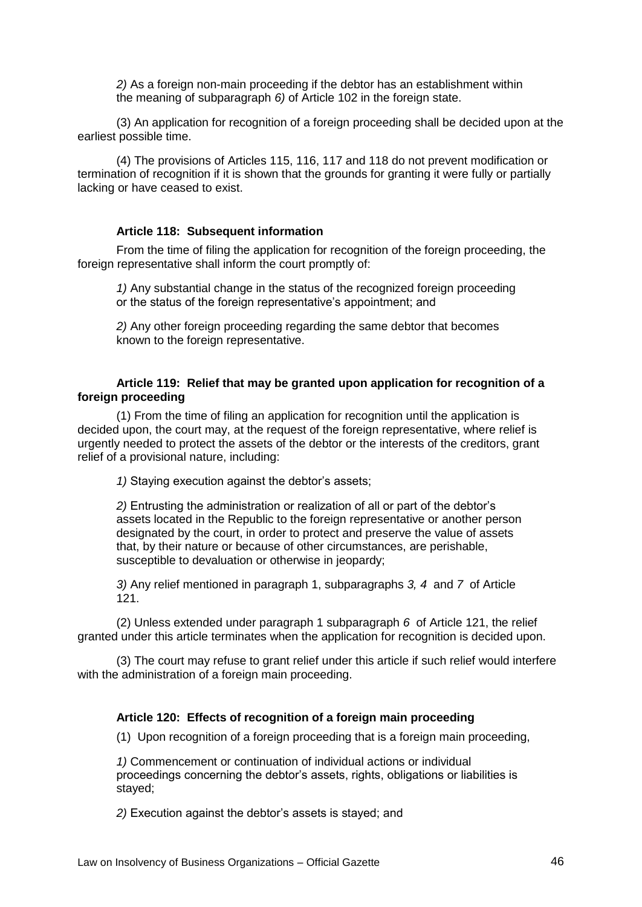*2)* As a foreign non-main proceeding if the debtor has an establishment within the meaning of subparagraph *6)* of Article 102 in the foreign state.

(3) An application for recognition of a foreign proceeding shall be decided upon at the earliest possible time.

(4) The provisions of Articles 115, 116, 117 and 118 do not prevent modification or termination of recognition if it is shown that the grounds for granting it were fully or partially lacking or have ceased to exist.

#### **Article 118: Subsequent information**

From the time of filing the application for recognition of the foreign proceeding, the foreign representative shall inform the court promptly of:

*1)* Any substantial change in the status of the recognized foreign proceeding or the status of the foreign representative's appointment; and

*2)* Any other foreign proceeding regarding the same debtor that becomes known to the foreign representative.

### **Article 119: Relief that may be granted upon application for recognition of a foreign proceeding**

(1) From the time of filing an application for recognition until the application is decided upon, the court may, at the request of the foreign representative, where relief is urgently needed to protect the assets of the debtor or the interests of the creditors, grant relief of a provisional nature, including:

*1)* Staying execution against the debtor's assets;

*2)* Entrusting the administration or realization of all or part of the debtor's assets located in the Republic to the foreign representative or another person designated by the court, in order to protect and preserve the value of assets that, by their nature or because of other circumstances, are perishable, susceptible to devaluation or otherwise in jeopardy;

*3)* Any relief mentioned in paragraph 1, subparagraphs *3, 4* and *7* of Article 121.

(2) Unless extended under paragraph 1 subparagraph *6* of Article 121, the relief granted under this article terminates when the application for recognition is decided upon.

(3) The court may refuse to grant relief under this article if such relief would interfere with the administration of a foreign main proceeding.

### **Article 120: Effects of recognition of a foreign main proceeding**

(1) Upon recognition of a foreign proceeding that is a foreign main proceeding,

*1)* Commencement or continuation of individual actions or individual proceedings concerning the debtor's assets, rights, obligations or liabilities is stayed;

*2)* Execution against the debtor's assets is stayed; and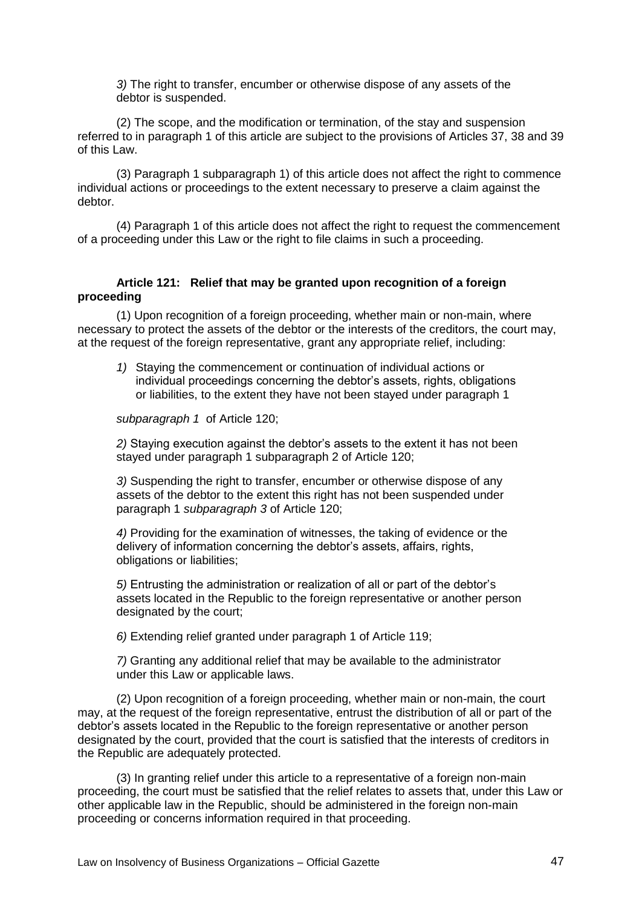*3)* The right to transfer, encumber or otherwise dispose of any assets of the debtor is suspended.

(2) The scope, and the modification or termination, of the stay and suspension referred to in paragraph 1 of this article are subject to the provisions of Articles 37, 38 and 39 of this Law.

(3) Paragraph 1 subparagraph 1) of this article does not affect the right to commence individual actions or proceedings to the extent necessary to preserve a claim against the debtor.

(4) Paragraph 1 of this article does not affect the right to request the commencement of a proceeding under this Law or the right to file claims in such a proceeding.

# **Article 121: Relief that may be granted upon recognition of a foreign proceeding**

(1) Upon recognition of a foreign proceeding, whether main or non-main, where necessary to protect the assets of the debtor or the interests of the creditors, the court may, at the request of the foreign representative, grant any appropriate relief, including:

*1)* Staying the commencement or continuation of individual actions or individual proceedings concerning the debtor's assets, rights, obligations or liabilities, to the extent they have not been stayed under paragraph 1

*subparagraph 1* of Article 120;

*2)* Staying execution against the debtor's assets to the extent it has not been stayed under paragraph 1 subparagraph 2 of Article 120;

*3)* Suspending the right to transfer, encumber or otherwise dispose of any assets of the debtor to the extent this right has not been suspended under paragraph 1 *subparagraph 3* of Article 120;

*4)* Providing for the examination of witnesses, the taking of evidence or the delivery of information concerning the debtor's assets, affairs, rights, obligations or liabilities;

*5)* Entrusting the administration or realization of all or part of the debtor's assets located in the Republic to the foreign representative or another person designated by the court;

*6)* Extending relief granted under paragraph 1 of Article 119;

*7)* Granting any additional relief that may be available to the administrator under this Law or applicable laws.

(2) Upon recognition of a foreign proceeding, whether main or non-main, the court may, at the request of the foreign representative, entrust the distribution of all or part of the debtor's assets located in the Republic to the foreign representative or another person designated by the court, provided that the court is satisfied that the interests of creditors in the Republic are adequately protected.

(3) In granting relief under this article to a representative of a foreign non-main proceeding, the court must be satisfied that the relief relates to assets that, under this Law or other applicable law in the Republic, should be administered in the foreign non-main proceeding or concerns information required in that proceeding.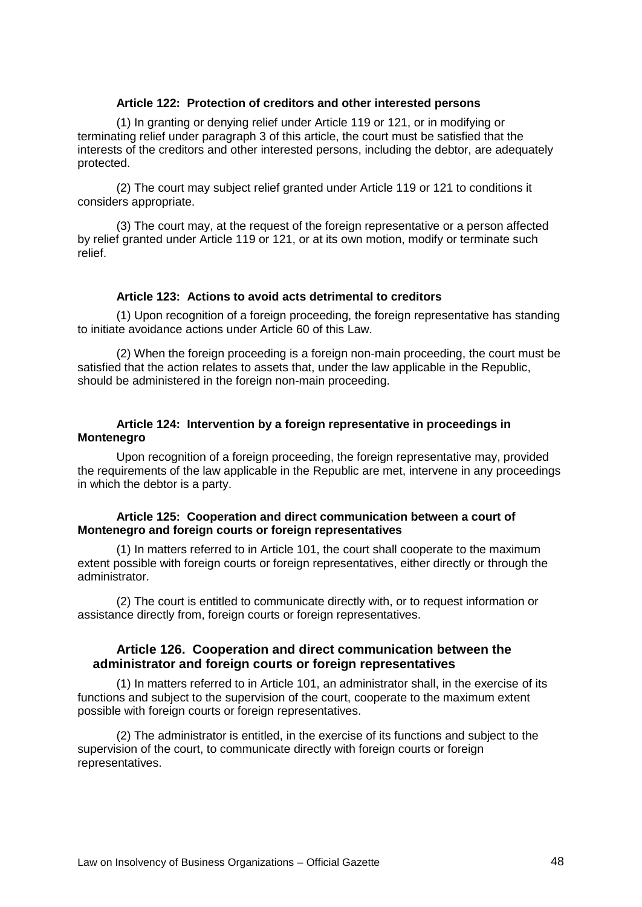### **Article 122: Protection of creditors and other interested persons**

(1) In granting or denying relief under Article 119 or 121, or in modifying or terminating relief under paragraph 3 of this article, the court must be satisfied that the interests of the creditors and other interested persons, including the debtor, are adequately protected.

(2) The court may subject relief granted under Article 119 or 121 to conditions it considers appropriate.

(3) The court may, at the request of the foreign representative or a person affected by relief granted under Article 119 or 121, or at its own motion, modify or terminate such relief.

### **Article 123: Actions to avoid acts detrimental to creditors**

(1) Upon recognition of a foreign proceeding, the foreign representative has standing to initiate avoidance actions under Article 60 of this Law.

(2) When the foreign proceeding is a foreign non-main proceeding, the court must be satisfied that the action relates to assets that, under the law applicable in the Republic, should be administered in the foreign non-main proceeding.

### **Article 124: Intervention by a foreign representative in proceedings in Montenegro**

Upon recognition of a foreign proceeding, the foreign representative may, provided the requirements of the law applicable in the Republic are met, intervene in any proceedings in which the debtor is a party.

### **Article 125: Cooperation and direct communication between a court of Montenegro and foreign courts or foreign representatives**

(1) In matters referred to in Article 101, the court shall cooperate to the maximum extent possible with foreign courts or foreign representatives, either directly or through the administrator.

(2) The court is entitled to communicate directly with, or to request information or assistance directly from, foreign courts or foreign representatives.

# **Article 126. Cooperation and direct communication between the administrator and foreign courts or foreign representatives**

(1) In matters referred to in Article 101, an administrator shall, in the exercise of its functions and subject to the supervision of the court, cooperate to the maximum extent possible with foreign courts or foreign representatives.

(2) The administrator is entitled, in the exercise of its functions and subject to the supervision of the court, to communicate directly with foreign courts or foreign representatives.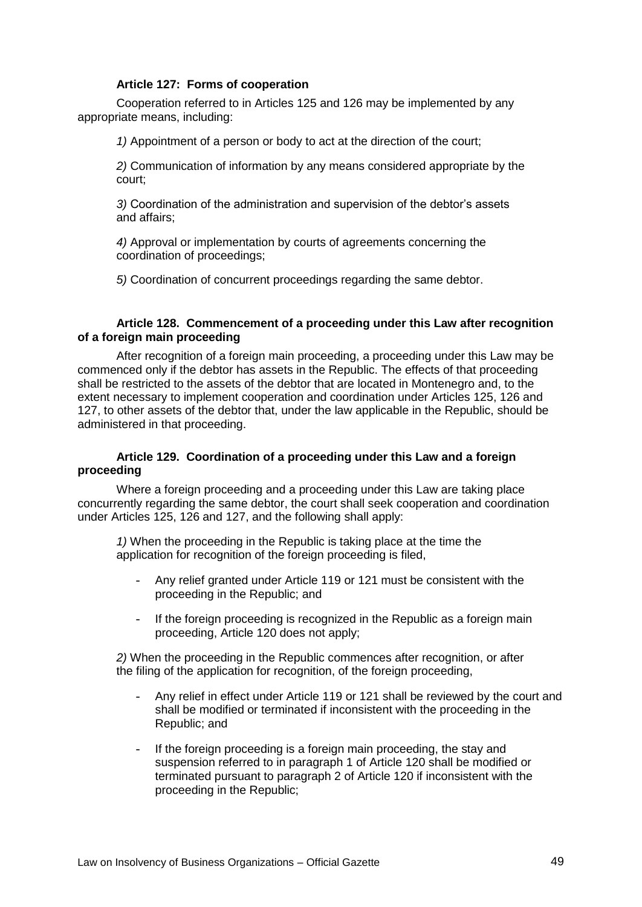### **Article 127: Forms of cooperation**

Cooperation referred to in Articles 125 and 126 may be implemented by any appropriate means, including:

*1)* Appointment of a person or body to act at the direction of the court;

*2)* Communication of information by any means considered appropriate by the court;

*3)* Coordination of the administration and supervision of the debtor's assets and affairs;

*4)* Approval or implementation by courts of agreements concerning the coordination of proceedings;

*5)* Coordination of concurrent proceedings regarding the same debtor.

# **Article 128. Commencement of a proceeding under this Law after recognition of a foreign main proceeding**

After recognition of a foreign main proceeding, a proceeding under this Law may be commenced only if the debtor has assets in the Republic. The effects of that proceeding shall be restricted to the assets of the debtor that are located in Montenegro and, to the extent necessary to implement cooperation and coordination under Articles 125, 126 and 127, to other assets of the debtor that, under the law applicable in the Republic, should be administered in that proceeding.

# **Article 129. Coordination of a proceeding under this Law and a foreign proceeding**

Where a foreign proceeding and a proceeding under this Law are taking place concurrently regarding the same debtor, the court shall seek cooperation and coordination under Articles 125, 126 and 127, and the following shall apply:

*1)* When the proceeding in the Republic is taking place at the time the application for recognition of the foreign proceeding is filed,

- Any relief granted under Article 119 or 121 must be consistent with the proceeding in the Republic; and
- If the foreign proceeding is recognized in the Republic as a foreign main proceeding, Article 120 does not apply;

*2)* When the proceeding in the Republic commences after recognition, or after the filing of the application for recognition, of the foreign proceeding,

- Any relief in effect under Article 119 or 121 shall be reviewed by the court and shall be modified or terminated if inconsistent with the proceeding in the Republic; and
- If the foreign proceeding is a foreign main proceeding, the stay and suspension referred to in paragraph 1 of Article 120 shall be modified or terminated pursuant to paragraph 2 of Article 120 if inconsistent with the proceeding in the Republic;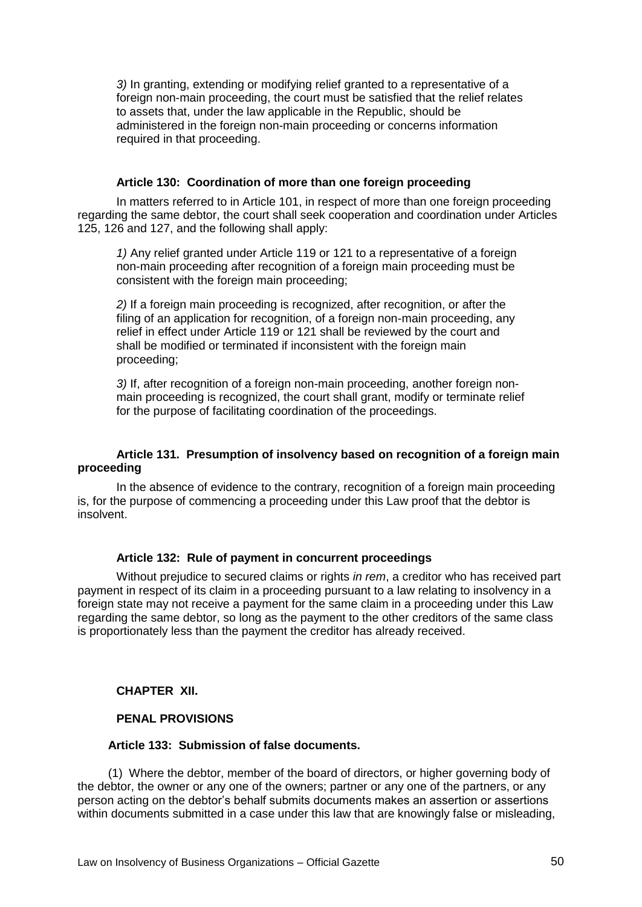*3)* In granting, extending or modifying relief granted to a representative of a foreign non-main proceeding, the court must be satisfied that the relief relates to assets that, under the law applicable in the Republic, should be administered in the foreign non-main proceeding or concerns information required in that proceeding.

### **Article 130: Coordination of more than one foreign proceeding**

In matters referred to in Article 101, in respect of more than one foreign proceeding regarding the same debtor, the court shall seek cooperation and coordination under Articles 125, 126 and 127, and the following shall apply:

*1)* Any relief granted under Article 119 or 121 to a representative of a foreign non-main proceeding after recognition of a foreign main proceeding must be consistent with the foreign main proceeding;

*2)* If a foreign main proceeding is recognized, after recognition, or after the filing of an application for recognition, of a foreign non-main proceeding, any relief in effect under Article 119 or 121 shall be reviewed by the court and shall be modified or terminated if inconsistent with the foreign main proceeding;

*3)* If, after recognition of a foreign non-main proceeding, another foreign nonmain proceeding is recognized, the court shall grant, modify or terminate relief for the purpose of facilitating coordination of the proceedings.

# **Article 131. Presumption of insolvency based on recognition of a foreign main proceeding**

In the absence of evidence to the contrary, recognition of a foreign main proceeding is, for the purpose of commencing a proceeding under this Law proof that the debtor is insolvent.

#### **Article 132: Rule of payment in concurrent proceedings**

Without prejudice to secured claims or rights *in rem*, a creditor who has received part payment in respect of its claim in a proceeding pursuant to a law relating to insolvency in a foreign state may not receive a payment for the same claim in a proceeding under this Law regarding the same debtor, so long as the payment to the other creditors of the same class is proportionately less than the payment the creditor has already received.

### **CHAPTER XII.**

# **PENAL PROVISIONS**

#### **Article 133: Submission of false documents.**

(1) Where the debtor, member of the board of directors, or higher governing body of the debtor, the owner or any one of the owners; partner or any one of the partners, or any person acting on the debtor's behalf submits documents makes an assertion or assertions within documents submitted in a case under this law that are knowingly false or misleading,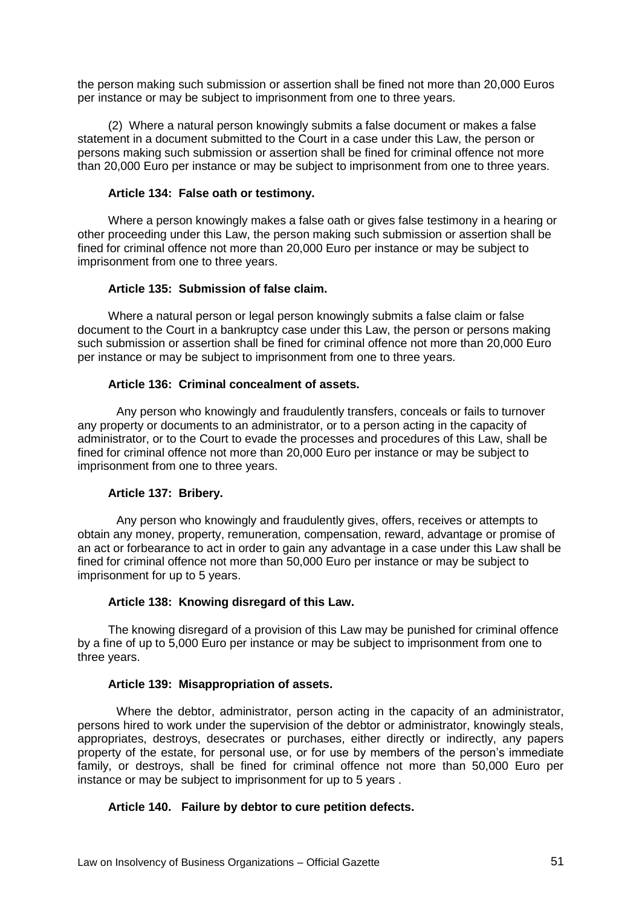the person making such submission or assertion shall be fined not more than 20,000 Euros per instance or may be subject to imprisonment from one to three years.

(2) Where a natural person knowingly submits a false document or makes a false statement in a document submitted to the Court in a case under this Law, the person or persons making such submission or assertion shall be fined for criminal offence not more than 20,000 Euro per instance or may be subject to imprisonment from one to three years.

### **Article 134: False oath or testimony.**

Where a person knowingly makes a false oath or gives false testimony in a hearing or other proceeding under this Law, the person making such submission or assertion shall be fined for criminal offence not more than 20,000 Euro per instance or may be subject to imprisonment from one to three years.

# **Article 135: Submission of false claim.**

Where a natural person or legal person knowingly submits a false claim or false document to the Court in a bankruptcy case under this Law, the person or persons making such submission or assertion shall be fined for criminal offence not more than 20,000 Euro per instance or may be subject to imprisonment from one to three years.

# **Article 136: Criminal concealment of assets.**

Any person who knowingly and fraudulently transfers, conceals or fails to turnover any property or documents to an administrator, or to a person acting in the capacity of administrator, or to the Court to evade the processes and procedures of this Law, shall be fined for criminal offence not more than 20,000 Euro per instance or may be subject to imprisonment from one to three years.

### **Article 137: Bribery.**

Any person who knowingly and fraudulently gives, offers, receives or attempts to obtain any money, property, remuneration, compensation, reward, advantage or promise of an act or forbearance to act in order to gain any advantage in a case under this Law shall be fined for criminal offence not more than 50,000 Euro per instance or may be subject to imprisonment for up to 5 years.

# **Article 138: Knowing disregard of this Law.**

The knowing disregard of a provision of this Law may be punished for criminal offence by a fine of up to 5,000 Euro per instance or may be subject to imprisonment from one to three years.

### **Article 139: Misappropriation of assets.**

Where the debtor, administrator, person acting in the capacity of an administrator, persons hired to work under the supervision of the debtor or administrator, knowingly steals, appropriates, destroys, desecrates or purchases, either directly or indirectly, any papers property of the estate, for personal use, or for use by members of the person's immediate family, or destroys, shall be fined for criminal offence not more than 50,000 Euro per instance or may be subject to imprisonment for up to 5 years .

# **Article 140. Failure by debtor to cure petition defects.**